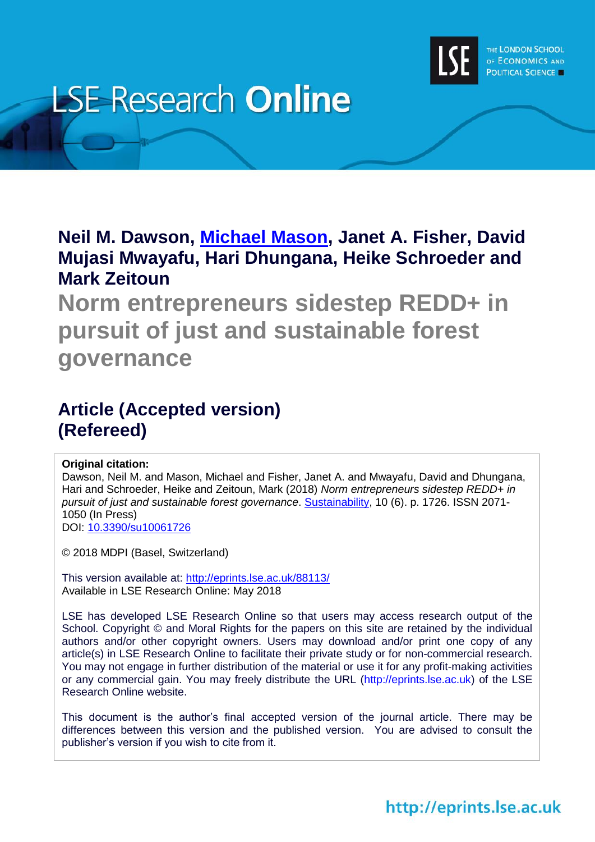

# **LSE Research Online**

**Neil M. Dawson, [Michael Mason,](http://www.lse.ac.uk/researchAndExpertise/Experts/profile.aspx?KeyValue=m.mason@lse.ac.uk) Janet A. Fisher, David Mujasi Mwayafu, Hari Dhungana, Heike Schroeder and Mark Zeitoun**

**Norm entrepreneurs sidestep REDD+ in pursuit of just and sustainable forest governance**

### **Article (Accepted version) (Refereed)**

#### **Original citation:**

Dawson, Neil M. and Mason, Michael and Fisher, Janet A. and Mwayafu, David and Dhungana, Hari and Schroeder, Heike and Zeitoun, Mark (2018) *Norm entrepreneurs sidestep REDD+ in pursuit of just and sustainable forest governance*. [Sustainability,](http://www.mdpi.com/journal/sustainability) 10 (6). p. 1726. ISSN 2071- 1050 (In Press) DOI: [10.3390/su10061726](http://doi.org/10.3390/su10061726)

© 2018 MDPI (Basel, Switzerland)

This version available at:<http://eprints.lse.ac.uk/88113/> Available in LSE Research Online: May 2018

LSE has developed LSE Research Online so that users may access research output of the School. Copyright © and Moral Rights for the papers on this site are retained by the individual authors and/or other copyright owners. Users may download and/or print one copy of any article(s) in LSE Research Online to facilitate their private study or for non-commercial research. You may not engage in further distribution of the material or use it for any profit-making activities or any commercial gain. You may freely distribute the URL (http://eprints.lse.ac.uk) of the LSE Research Online website.

This document is the author's final accepted version of the journal article. There may be differences between this version and the published version. You are advised to consult the publisher's version if you wish to cite from it.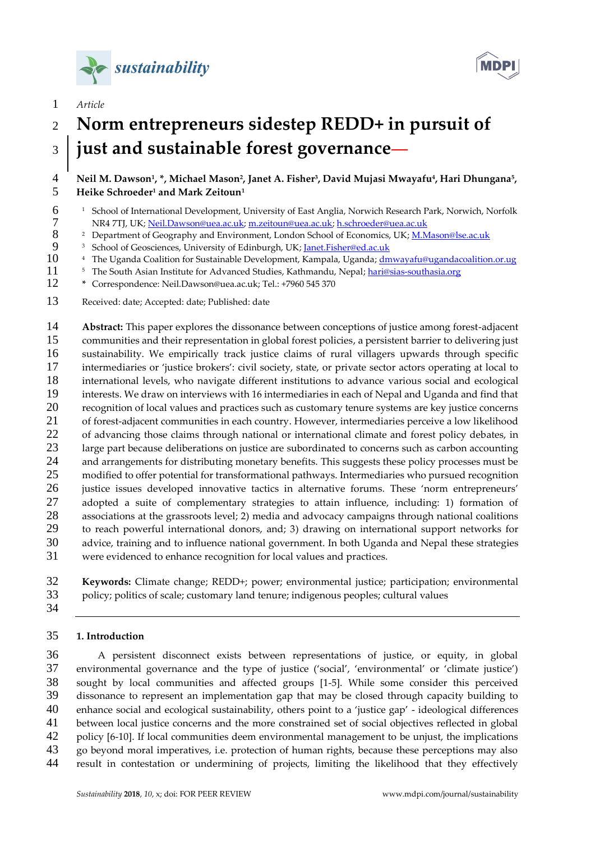





## **Norm entrepreneurs sidestep REDD+ in pursuit of just and sustainable forest governance**

#### **Neil M. Dawson<sup>1</sup> , \*, Michael Mason<sup>2</sup> , Janet A. Fisher<sup>3</sup> , David Mujasi Mwayafu<sup>4</sup> , Hari Dhungana<sup>5</sup> , Heike Schroeder<sup>1</sup> and Mark Zeitoun<sup>1</sup>**

- <sup>1</sup> School of International Development, University of East Anglia, Norwich Research Park, Norwich, Norfolk
- 7 NR4 7TJ, UK; <u>Neil.Dawson@uea.ac.uk; [m.zeitoun@uea.ac.uk;](mailto:m.zeitoun@uea.ac.uk) [h.schroeder@uea.ac.uk](mailto:h.schroeder@uea.ac.uk)</u><br>8 Pepartment of Geography and Environment, London School of Economics, UK; M.N <sup>2</sup> Department of Geography and Environment, London School of Economics, UK; <u>M.Mason@lse.ac.uk</u><br>9 <sup>3</sup> School of Geosciences. University of Edinburgh. UK: Ianet.Fisher@ed.ac.uk
- <sup>3</sup> School of Geosciences, University of Edinburgh, UK; <u>Janet.Fisher@ed.ac.uk</u><br>10 <sup>4</sup> The Uganda Coalition for Sustainable Development. Kampala. Uganda: dm
- <sup>4</sup> The Uganda Coalition for Sustainable Development, Kampala, Uganda; [dmwayafu@ugandacoalition.or.ug](mailto:dmwayafu@ugandacoalition.or.ug)
- <sup>5</sup> The South Asian Institute for Advanced Studies, Kathmandu, Nepal; [hari@sias-southasia.org](mailto:hari@sias-southasia.org)
- **\*** Correspondence: Neil.Dawson@uea.ac.uk; Tel.: +7960 545 370
- Received: date; Accepted: date; Published: date

 **Abstract:** This paper explores the dissonance between conceptions of justice among forest-adjacent communities and their representation in global forest policies, a persistent barrier to delivering just sustainability. We empirically track justice claims of rural villagers upwards through specific intermediaries or 'justice brokers': civil society, state, or private sector actors operating at local to international levels, who navigate different institutions to advance various social and ecological interests. We draw on interviews with 16 intermediaries in each of Nepal and Uganda and find that recognition of local values and practices such as customary tenure systems are key justice concerns 21 of forest-adjacent communities in each country. However, intermediaries perceive a low likelihood<br>22 of advancing those claims through national or international climate and forest policy debates in of advancing those claims through national or international climate and forest policy debates, in large part because deliberations on justice are subordinated to concerns such as carbon accounting and arrangements for distributing monetary benefits. This suggests these policy processes must be modified to offer potential for transformational pathways. Intermediaries who pursued recognition justice issues developed innovative tactics in alternative forums. These 'norm entrepreneurs' adopted a suite of complementary strategies to attain influence, including: 1) formation of associations at the grassroots level; 2) media and advocacy campaigns through national coalitions to reach powerful international donors, and; 3) drawing on international support networks for advice, training and to influence national government. In both Uganda and Nepal these strategies were evidenced to enhance recognition for local values and practices.

 **Keywords:** Climate change; REDD+; power; environmental justice; participation; environmental policy; politics of scale; customary land tenure; indigenous peoples; cultural values

#### **1. Introduction**

 A persistent disconnect exists between representations of justice, or equity, in global environmental governance and the type of justice ('social', 'environmental' or 'climate justice') sought by local communities and affected groups [1-5]. While some consider this perceived dissonance to represent an implementation gap that may be closed through capacity building to enhance social and ecological sustainability, others point to a 'justice gap' - ideological differences between local justice concerns and the more constrained set of social objectives reflected in global policy [6-10]. If local communities deem environmental management to be unjust, the implications go beyond moral imperatives, i.e. protection of human rights, because these perceptions may also result in contestation or undermining of projects, limiting the likelihood that they effectively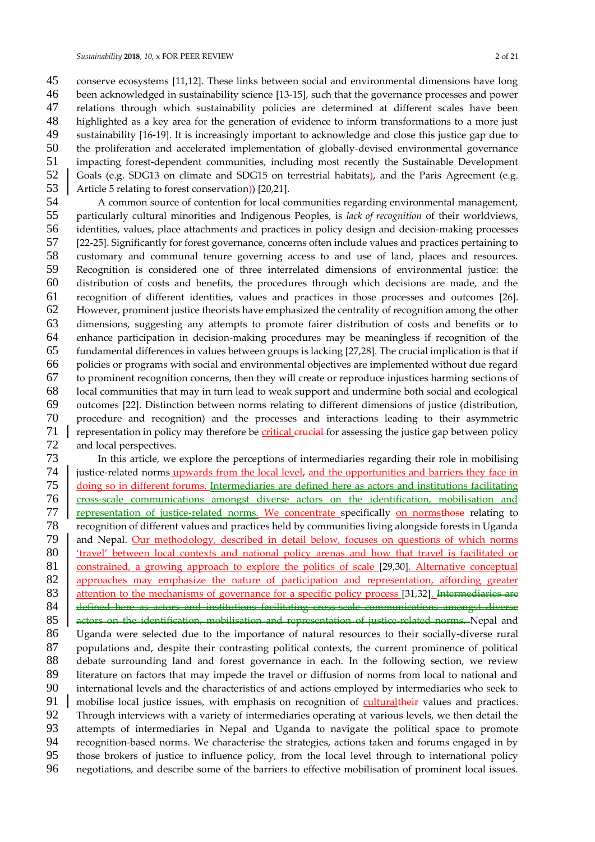conserve ecosystems [11,12]. These links between social and environmental dimensions have long been acknowledged in sustainability science [13-15], such that the governance processes and power relations through which sustainability policies are determined at different scales have been highlighted as a key area for the generation of evidence to inform transformations to a more just sustainability [16-19]. It is increasingly important to acknowledge and close this justice gap due to the proliferation and accelerated implementation of globally-devised environmental governance impacting forest-dependent communities, including most recently the Sustainable Development 52 Goals (e.g. SDG13 on climate and SDG15 on terrestrial habitats), and the Paris Agreement (e.g. 53 Article 5 relating to forest conservation) [20,21].

54 A common source of contention for local communities regarding environmental management,<br>55 particularly cultural minorities and Indigenous Peoples, is *lack of recognition* of their worldviews. particularly cultural minorities and Indigenous Peoples, is *lack of recognition* of their worldviews, identities, values, place attachments and practices in policy design and decision-making processes [22-25]. Significantly for forest governance, concerns often include values and practices pertaining to customary and communal tenure governing access to and use of land, places and resources. Recognition is considered one of three interrelated dimensions of environmental justice: the distribution of costs and benefits, the procedures through which decisions are made, and the recognition of different identities, values and practices in those processes and outcomes [26]. However, prominent justice theorists have emphasized the centrality of recognition among the other dimensions, suggesting any attempts to promote fairer distribution of costs and benefits or to enhance participation in decision-making procedures may be meaningless if recognition of the fundamental differences in values between groups is lacking [27,28]. The crucial implication is that if policies or programs with social and environmental objectives are implemented without due regard to prominent recognition concerns, then they will create or reproduce injustices harming sections of local communities that may in turn lead to weak support and undermine both social and ecological outcomes [22]. Distinction between norms relating to different dimensions of justice (distribution, procedure and recognition) and the processes and interactions leading to their asymmetric representation in policy may therefore be **critical erucial** for assessing the justice gap between policy and local perspectives. and local perspectives.

73 In this article, we explore the perceptions of intermediaries regarding their role in mobilising instice-related norms upwards from the local level, and the opportunities and barriers they face in justice-related norms upwards from the local level, and the opportunities and barriers they face in 75 doing so in different forums. Intermediaries are defined here as actors and institutions facilitating<br>76 cross-scale communications amongst diverse actors on the identification, mobilisation and cross-scale communications amongst diverse actors on the identification, mobilisation and 77 representation of justice-related norms. We concentrate specifically on normsthose relating to recognition of different values and practices held by communities living alongside forests in Uganda 79 and Nepal. Our methodology, described in detail below, focuses on questions of which norms<br>80 travel' between local contexts and national policy arenas and how that travel is facilitated or 80 <u>'travel' between local contexts and national policy arenas and how that travel is facilitated or</u><br>81 constrained, a growing approach to explore the politics of scale [29,30]. Alternative conceptual constrained, a growing approach to explore the politics of scale [29,30]. Alternative conceptual 82 approaches may emphasize the nature of participation and representation, affording greater 83 attention to the mechanisms of governance for a specific policy process [31,32]. Intermediaries are 84 defined here as actors and institutions facilitating cross-scale communications amongst diverse<br>85 actors on the identification, mobilisation and representation of justice-related norms. Nepal and actors on the identification, mobilisation and representation of justice-related norms. Nepal and Uganda were selected due to the importance of natural resources to their socially-diverse rural populations and, despite their contrasting political contexts, the current prominence of political debate surrounding land and forest governance in each. In the following section, we review 89 literature on factors that may impede the travel or diffusion of norms from local to national and<br>90 international levels and the characteristics of and actions employed by intermediaries who seek to international levels and the characteristics of and actions employed by intermediaries who seek to 91 mobilise local justice issues, with emphasis on recognition of cultural their values and practices. 92 Through interviews with a variety of intermediaries operating at various levels, we then detail the<br>93 attempts of intermediaries in Nepal and Uganda to navigate the political space to promote 93 attempts of intermediaries in Nepal and Uganda to navigate the political space to promote<br>94 recognition-based norms We characterise the strategies actions taken and forums engaged in by 94 recognition-based norms. We characterise the strategies, actions taken and forums engaged in by<br>95 those brokers of justice to influence policy, from the local level through to international policy those brokers of justice to influence policy, from the local level through to international policy negotiations, and describe some of the barriers to effective mobilisation of prominent local issues.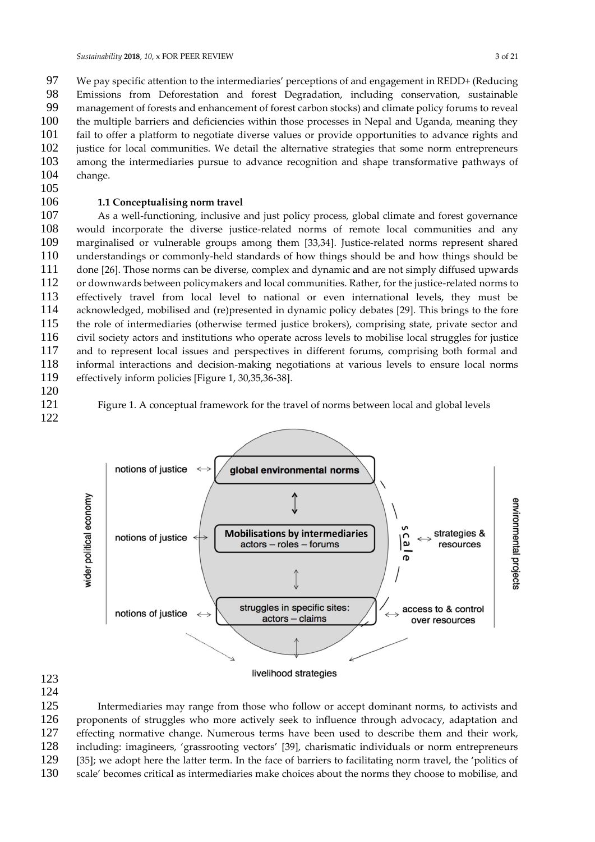97 We pay specific attention to the intermediaries' perceptions of and engagement in REDD+ (Reducing<br>98 Fmissions from Deforestation and forest Degradation, including conservation, sustainable Emissions from Deforestation and forest Degradation, including conservation, sustainable management of forests and enhancement of forest carbon stocks) and climate policy forums to reveal the multiple barriers and deficiencies within those processes in Nepal and Uganda, meaning they fail to offer a platform to negotiate diverse values or provide opportunities to advance rights and justice for local communities. We detail the alternative strategies that some norm entrepreneurs among the intermediaries pursue to advance recognition and shape transformative pathways of change.

#### **1.1 Conceptualising norm travel**

 As a well-functioning, inclusive and just policy process, global climate and forest governance would incorporate the diverse justice-related norms of remote local communities and any marginalised or vulnerable groups among them [33,34]. Justice-related norms represent shared understandings or commonly-held standards of how things should be and how things should be done [26]. Those norms can be diverse, complex and dynamic and are not simply diffused upwards or downwards between policymakers and local communities. Rather, for the justice-related norms to effectively travel from local level to national or even international levels, they must be acknowledged, mobilised and (re)presented in dynamic policy debates [29]. This brings to the fore the role of intermediaries (otherwise termed justice brokers), comprising state, private sector and civil society actors and institutions who operate across levels to mobilise local struggles for justice and to represent local issues and perspectives in different forums, comprising both formal and 118 informal interactions and decision-making negotiations at various levels to ensure local norms<br>119 effectively inform policies [Figure 1, 30.35.36-38]. effectively inform policies [Figure 1, 30,35,36-38].

- 
- 

Figure 1. A conceptual framework for the travel of norms between local and global levels



 

 Intermediaries may range from those who follow or accept dominant norms, to activists and proponents of struggles who more actively seek to influence through advocacy, adaptation and effecting normative change. Numerous terms have been used to describe them and their work, including: imagineers, 'grassrooting vectors' [39], charismatic individuals or norm entrepreneurs [35]; we adopt here the latter term. In the face of barriers to facilitating norm travel, the 'politics of scale' becomes critical as intermediaries make choices about the norms they choose to mobilise, and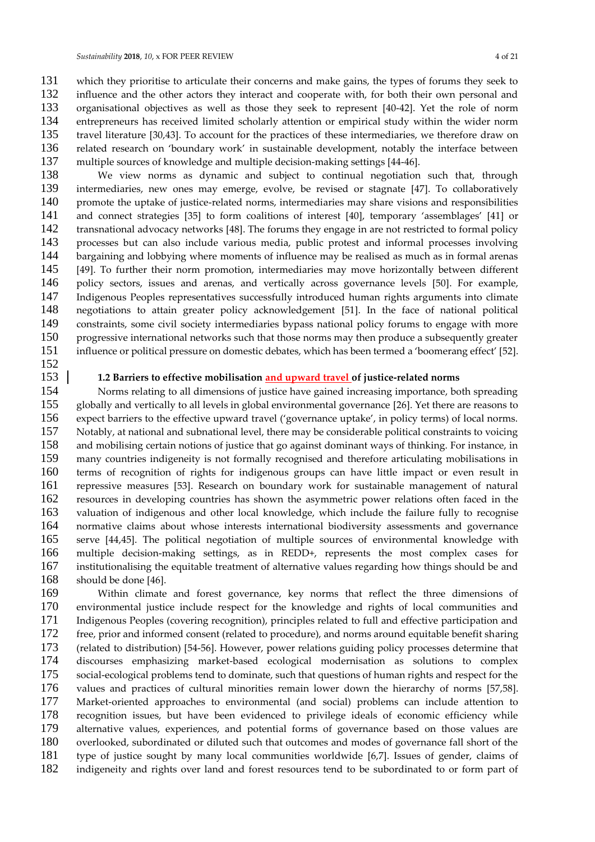131 which they prioritise to articulate their concerns and make gains, the types of forums they seek to influence and the other actors they interact and cooperate with, for both their own personal and influence and the other actors they interact and cooperate with, for both their own personal and organisational objectives as well as those they seek to represent [40-42]. Yet the role of norm entrepreneurs has received limited scholarly attention or empirical study within the wider norm travel literature [30,43]. To account for the practices of these intermediaries, we therefore draw on related research on 'boundary work' in sustainable development, notably the interface between multiple sources of knowledge and multiple decision-making settings [44-46].

 We view norms as dynamic and subject to continual negotiation such that, through intermediaries, new ones may emerge, evolve, be revised or stagnate [47]. To collaboratively promote the uptake of justice-related norms, intermediaries may share visions and responsibilities and connect strategies [35] to form coalitions of interest [40], temporary 'assemblages' [41] or transnational advocacy networks [48]. The forums they engage in are not restricted to formal policy processes but can also include various media, public protest and informal processes involving bargaining and lobbying where moments of influence may be realised as much as in formal arenas [49]. To further their norm promotion, intermediaries may move horizontally between different policy sectors, issues and arenas, and vertically across governance levels [50]. For example, Indigenous Peoples representatives successfully introduced human rights arguments into climate negotiations to attain greater policy acknowledgement [51]. In the face of national political constraints, some civil society intermediaries bypass national policy forums to engage with more progressive international networks such that those norms may then produce a subsequently greater influence or political pressure on domestic debates, which has been termed a 'boomerang effect' [52].

#### **1.2 Barriers to effective mobilisation and upward travel of justice-related norms**

 Norms relating to all dimensions of justice have gained increasing importance, both spreading globally and vertically to all levels in global environmental governance [26]. Yet there are reasons to expect barriers to the effective upward travel ('governance uptake', in policy terms) of local norms. Notably, at national and subnational level, there may be considerable political constraints to voicing and mobilising certain notions of justice that go against dominant ways of thinking. For instance, in many countries indigeneity is not formally recognised and therefore articulating mobilisations in terms of recognition of rights for indigenous groups can have little impact or even result in 161 repressive measures [53]. Research on boundary work for sustainable management of natural 162 resources in developing countries has shown the asymmetric power relations often faced in the resources in developing countries has shown the asymmetric power relations often faced in the valuation of indigenous and other local knowledge, which include the failure fully to recognise normative claims about whose interests international biodiversity assessments and governance serve [44,45]. The political negotiation of multiple sources of environmental knowledge with 166 multiple decision-making settings, as in REDD+, represents the most complex cases for institutionalising the equitable treatment of alternative values regarding how things should be and institutionalising the equitable treatment of alternative values regarding how things should be and should be done [46].

 Within climate and forest governance, key norms that reflect the three dimensions of environmental justice include respect for the knowledge and rights of local communities and 171 Indigenous Peoples (covering recognition), principles related to full and effective participation and 172 free, prior and informed consent (related to procedure), and norms around equitable benefit sharing free, prior and informed consent (related to procedure), and norms around equitable benefit sharing (related to distribution) [54-56]. However, power relations guiding policy processes determine that 174 discourses emphasizing market-based ecological modernisation as solutions to complex<br>175 social-ecological problems tend to dominate such that questions of human rights and respect for the social-ecological problems tend to dominate, such that questions of human rights and respect for the values and practices of cultural minorities remain lower down the hierarchy of norms [57,58]. Market-oriented approaches to environmental (and social) problems can include attention to 178 recognition issues, but have been evidenced to privilege ideals of economic efficiency while<br>179 alternative values, experiences, and potential forms of governance based on those values are 179 alternative values, experiences, and potential forms of governance based on those values are<br>180 overlooked subordinated or diluted such that outcomes and modes of governance fall short of the overlooked, subordinated or diluted such that outcomes and modes of governance fall short of the type of justice sought by many local communities worldwide [6,7]. Issues of gender, claims of indigeneity and rights over land and forest resources tend to be subordinated to or form part of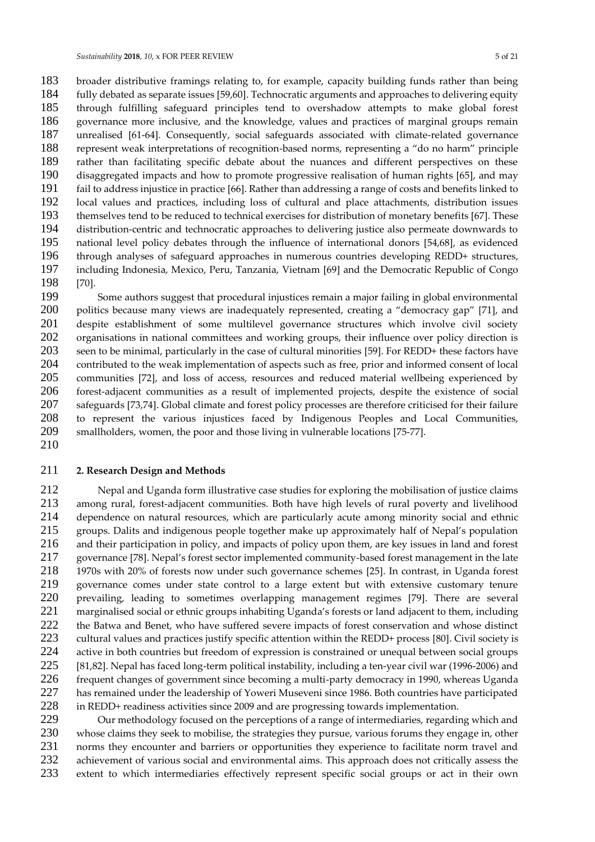183 broader distributive framings relating to, for example, capacity building funds rather than being<br>184 fully debated as separate issues [59,60]. Technocratic arguments and approaches to delivering equity fully debated as separate issues [59,60]. Technocratic arguments and approaches to delivering equity through fulfilling safeguard principles tend to overshadow attempts to make global forest governance more inclusive, and the knowledge, values and practices of marginal groups remain unrealised [61-64]. Consequently, social safeguards associated with climate-related governance represent weak interpretations of recognition-based norms, representing a "do no harm" principle rather than facilitating specific debate about the nuances and different perspectives on these disaggregated impacts and how to promote progressive realisation of human rights [65], and may fail to address injustice in practice [66]. Rather than addressing a range of costs and benefits linked to 192 local values and practices, including loss of cultural and place attachments, distribution issues<br>193 themselves tend to be reduced to technical exercises for distribution of monetary benefits [67]. These themselves tend to be reduced to technical exercises for distribution of monetary benefits [67]. These distribution-centric and technocratic approaches to delivering justice also permeate downwards to national level policy debates through the influence of international donors [54,68], as evidenced through analyses of safeguard approaches in numerous countries developing REDD+ structures, including Indonesia, Mexico, Peru, Tanzania, Vietnam [69] and the Democratic Republic of Congo [70].

 Some authors suggest that procedural injustices remain a major failing in global environmental 200 politics because many views are inadequately represented, creating a "democracy gap" [71], and 201 despite establishment of some multilevel governance structures which involve civil society<br>202 organisations in national committees and working groups, their influence over policy direction is organisations in national committees and working groups, their influence over policy direction is seen to be minimal, particularly in the case of cultural minorities [59]. For REDD+ these factors have 204 contributed to the weak implementation of aspects such as free, prior and informed consent of local<br>205 communities [72], and loss of access, resources and reduced material wellbeing experienced by communities [72], and loss of access, resources and reduced material wellbeing experienced by forest-adjacent communities as a result of implemented projects, despite the existence of social safeguards [73,74]. Global climate and forest policy processes are therefore criticised for their failure to represent the various injustices faced by Indigenous Peoples and Local Communities, smallholders, women, the poor and those living in vulnerable locations [75-77]. 

#### **2. Research Design and Methods**

 Nepal and Uganda form illustrative case studies for exploring the mobilisation of justice claims among rural, forest-adjacent communities. Both have high levels of rural poverty and livelihood dependence on natural resources, which are particularly acute among minority social and ethnic 215 groups. Dalits and indigenous people together make up approximately half of Nepal's population<br>216 and their participation in policy, and impacts of policy upon them, are key issues in land and forest and their participation in policy, and impacts of policy upon them, are key issues in land and forest governance [78]. Nepal's forest sector implemented community-based forest management in the late 1970s with 20% of forests now under such governance schemes [25]. In contrast, in Uganda forest 219 governance comes under state control to a large extent but with extensive customary tenure<br>220 prevailing, leading to sometimes overlapping management regimes [79]. There are several 220 prevailing, leading to sometimes overlapping management regimes [79]. There are several<br>221 marginalised social or ethnic groups inhabiting Uganda's forests or land adiacent to them, including marginalised social or ethnic groups inhabiting Uganda's forests or land adjacent to them, including the Batwa and Benet, who have suffered severe impacts of forest conservation and whose distinct 223 cultural values and practices justify specific attention within the REDD+ process [80]. Civil society is<br>224 active in both countries but freedom of expression is constrained or unequal between social groups 224 active in both countries but freedom of expression is constrained or unequal between social groups<br>225 [81.82]. Nepal has faced long-term political instability, including a ten-vear civil war (1996-2006) and [81,82]. Nepal has faced long-term political instability, including a ten-year civil war (1996-2006) and frequent changes of government since becoming a multi-party democracy in 1990, whereas Uganda 227 has remained under the leadership of Yoweri Museveni since 1986. Both countries have participated<br>228 in REDD+ readiness activities since 2009 and are progressing towards implementation. in REDD+ readiness activities since 2009 and are progressing towards implementation.

 Our methodology focused on the perceptions of a range of intermediaries, regarding which and whose claims they seek to mobilise, the strategies they pursue, various forums they engage in, other norms they encounter and barriers or opportunities they experience to facilitate norm travel and 232 achievement of various social and environmental aims. This approach does not critically assess the<br>233 extent to which intermediaries effectively represent specific social groups or act in their own extent to which intermediaries effectively represent specific social groups or act in their own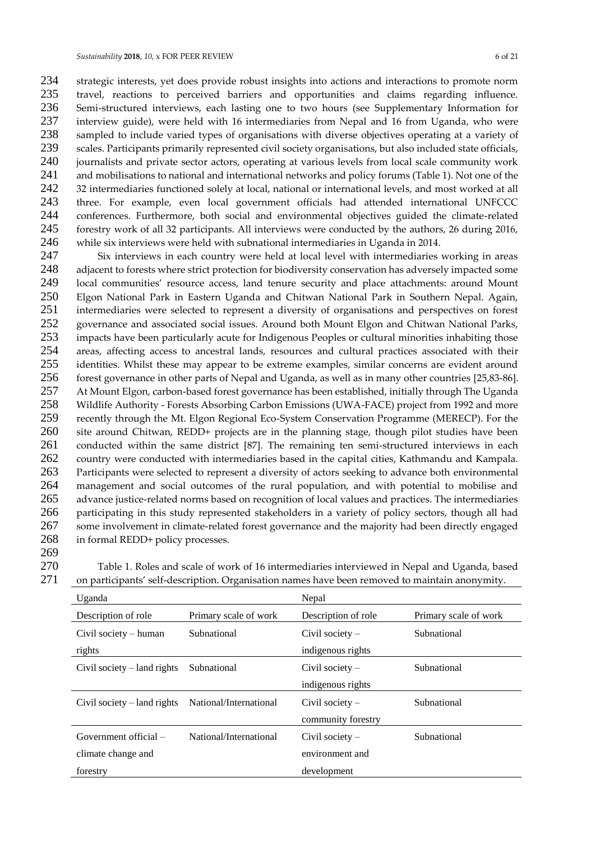234 strategic interests, yet does provide robust insights into actions and interactions to promote norm<br>235 travel, reactions to perceived barriers and opportunities and claims regarding influence. travel, reactions to perceived barriers and opportunities and claims regarding influence. Semi-structured interviews, each lasting one to two hours (see Supplementary Information for interview guide), were held with 16 intermediaries from Nepal and 16 from Uganda, who were sampled to include varied types of organisations with diverse objectives operating at a variety of scales. Participants primarily represented civil society organisations, but also included state officials, journalists and private sector actors, operating at various levels from local scale community work and mobilisations to national and international networks and policy forums (Table 1). Not one of the 242 32 intermediaries functioned solely at local, national or international levels, and most worked at all 243 three. For example, even local government officials had attended international UNFCCC<br>244 conferences. Furthermore, both social and environmental objectives guided the climate-related conferences. Furthermore, both social and environmental objectives guided the climate-related forestry work of all 32 participants. All interviews were conducted by the authors, 26 during 2016, while six interviews were held with subnational intermediaries in Uganda in 2014.

247 Six interviews in each country were held at local level with intermediaries working in areas 248 adjacent to forests where strict protection for biodiversity conservation has adversely impacted some<br>249 local communities' resource access. land tenure security and place attachments: around Mount local communities' resource access, land tenure security and place attachments: around Mount 250 Elgon National Park in Eastern Uganda and Chitwan National Park in Southern Nepal. Again, 251 intermediaries were selected to represent a diversity of organisations and perspectives on forest 252 governance and associated social issues. Around both Mount Elgon and Chitwan National Parks,<br>253 impacts have been particularly acute for Indigenous Peoples or cultural minorities inhabiting those impacts have been particularly acute for Indigenous Peoples or cultural minorities inhabiting those 254 areas, affecting access to ancestral lands, resources and cultural practices associated with their 255 identities. Whilst these may appear to be extreme examples, similar concerns are evident around<br>256 forest governance in other parts of Nepal and Uganda, as well as in many other countries [25.83-86]. 256 forest governance in other parts of Nepal and Uganda, as well as in many other countries [25,83-86]. 257 At Mount Elgon, carbon-based forest governance has been established, initially through The Uganda<br>258 Wildlife Authority - Forests Absorbing Carbon Emissions (UWA-FACE) project from 1992 and more 258 Wildlife Authority - Forests Absorbing Carbon Emissions (UWA-FACE) project from 1992 and more 259 recently through the Mt. Elgon Regional Eco-System Conservation Programme (MERECP). For the 260 site around Chitwan, REDD+ projects are in the planning stage, though pilot studies have been<br>261 conducted within the same district [87]. The remaining ten semi-structured interviews in each 261 conducted within the same district [87]. The remaining ten semi-structured interviews in each 262 country were conducted with intermediaries based in the capital cities, Kathmandu and Kampala. 263 Participants were selected to represent a diversity of actors seeking to advance both environmental 264 management and social outcomes of the rural population, and with potential to mobilise and 265 advance iustice-related norms based on recognition of local values and practices. The intermediaries advance justice-related norms based on recognition of local values and practices. The intermediaries 266 participating in this study represented stakeholders in a variety of policy sectors, though all had 267 some involvement in climate-related forest governance and the majority had been directly engaged 268 in formal REDD+ policy processes.

- 269
- 
- 270 Table 1. Roles and scale of work of 16 intermediaries interviewed in Nepal and Uganda, based 271 on participants' self-description. Organisation names have been removed to maintain anonymity.

| Uganda                                 |                        | Nepal               |                       |
|----------------------------------------|------------------------|---------------------|-----------------------|
| Description of role                    | Primary scale of work  | Description of role | Primary scale of work |
| Civil society – human                  | Subnational            | $Civil$ society $-$ | Subnational           |
| rights                                 |                        | indigenous rights   |                       |
| Civil society $-\lambda$ - land rights | Subnational            | Civil society $-$   | Subnational           |
|                                        |                        | indigenous rights   |                       |
| Civil society $-\lambda$ land rights   | National/International | Civil society $-$   | Subnational           |
|                                        |                        | community forestry  |                       |
| Government official $-$                | National/International | Civil society $-$   | Subnational           |
| climate change and                     |                        | environment and     |                       |
| forestry                               |                        | development         |                       |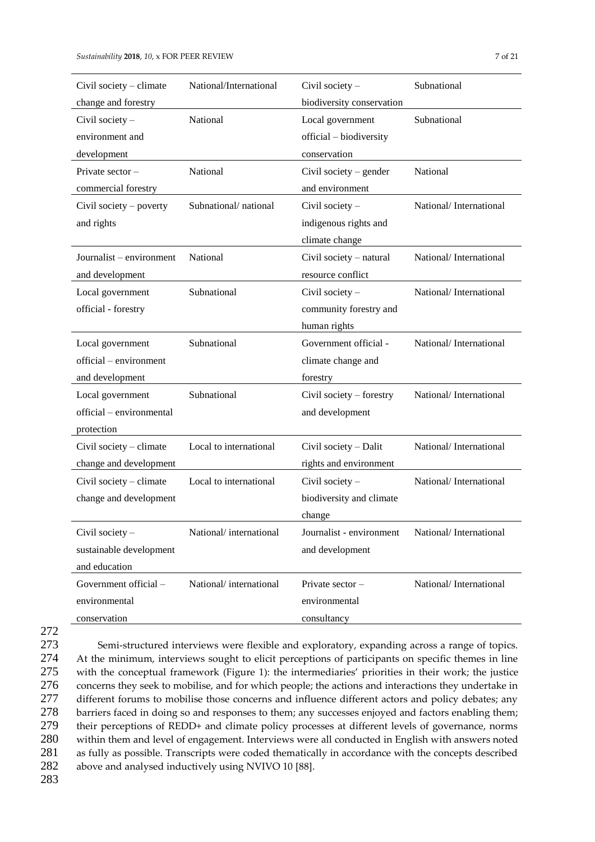| Civil society – climate  | National/International | Civil society -           | Subnational            |
|--------------------------|------------------------|---------------------------|------------------------|
| change and forestry      |                        | biodiversity conservation |                        |
| Civil society -          | National               | Local government          | Subnational            |
| environment and          |                        | official - biodiversity   |                        |
| development              |                        | conservation              |                        |
| Private sector-          | National               | Civil society $-$ gender  | National               |
| commercial forestry      |                        | and environment           |                        |
| Civil society – poverty  | Subnational/national   | Civil society -           | National/International |
| and rights               |                        | indigenous rights and     |                        |
|                          |                        | climate change            |                        |
| Journalist – environment | National               | Civil society - natural   | National/International |
| and development          |                        | resource conflict         |                        |
| Local government         | Subnational            | Civil society -           | National/International |
| official - forestry      |                        | community forestry and    |                        |
|                          |                        | human rights              |                        |
| Local government         | Subnational            | Government official -     | National/International |
| official – environment   |                        | climate change and        |                        |
| and development          |                        | forestry                  |                        |
| Local government         | Subnational            | Civil society – forestry  | National/International |
| official - environmental |                        | and development           |                        |
| protection               |                        |                           |                        |
| Civil society - climate  | Local to international | Civil society - Dalit     | National/International |
| change and development   |                        | rights and environment    |                        |
| Civil society - climate  | Local to international | Civil society -           | National/International |
| change and development   |                        | biodiversity and climate  |                        |
|                          |                        | change                    |                        |
| Civil society -          | National/international | Journalist - environment  | National/International |
| sustainable development  |                        | and development           |                        |
| and education            |                        |                           |                        |
| Government official -    | National/international | Private sector-           | National/International |
| environmental            |                        | environmental             |                        |
| conservation             |                        | consultancy               |                        |

<sup>272</sup>

 Semi-structured interviews were flexible and exploratory, expanding across a range of topics. At the minimum, interviews sought to elicit perceptions of participants on specific themes in line with the conceptual framework (Figure 1): the intermediaries' priorities in their work; the justice concerns they seek to mobilise, and for which people; the actions and interactions they undertake in 277 different forums to mobilise those concerns and influence different actors and policy debates; any barriers faced in doing so and responses to them; any successes enjoyed and factors enabling them; their perceptions of REDD+ and climate policy processes at different levels of governance, norms within them and level of engagement. Interviews were all conducted in English with answers noted as fully as possible. Transcripts were coded thematically in accordance with the concepts described above and analysed inductively using NVIVO 10 [88].

283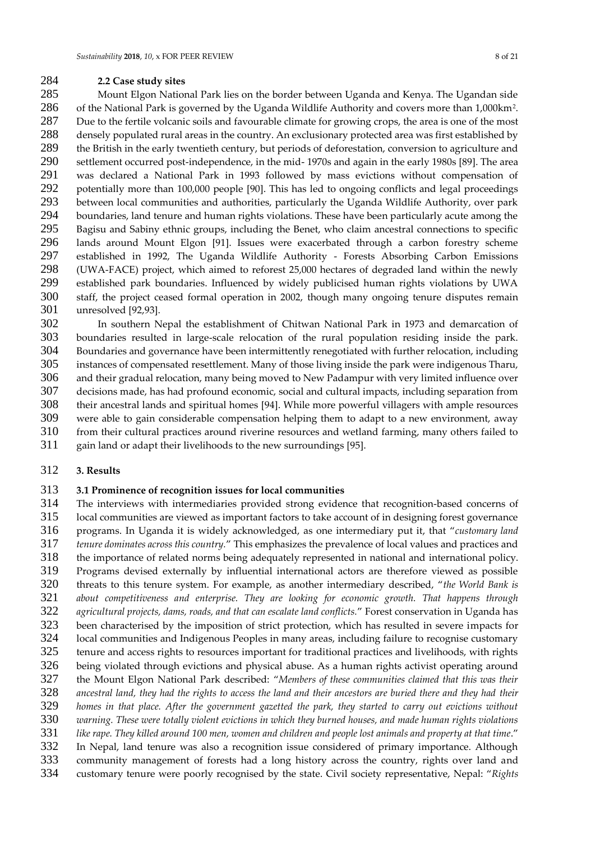## **2.2 Case study sites**

 Mount Elgon National Park lies on the border between Uganda and Kenya. The Ugandan side 286 of the National Park is governed by the Uganda Wildlife Authority and covers more than 1,000 km<sup>2</sup>. Due to the fertile volcanic soils and favourable climate for growing crops, the area is one of the most densely populated rural areas in the country. An exclusionary protected area was first established by the British in the early twentieth century, but periods of deforestation, conversion to agriculture and settlement occurred post-independence, in the mid- 1970s and again in the early 1980s [89]. The area was declared a National Park in 1993 followed by mass evictions without compensation of potentially more than 100,000 people [90]. This has led to ongoing conflicts and legal proceedings 293 between local communities and authorities, particularly the Uganda Wildlife Authority, over park<br>294 boundaries, land tenure and human rights violations. These have been particularly acute among the boundaries, land tenure and human rights violations. These have been particularly acute among the Bagisu and Sabiny ethnic groups, including the Benet, who claim ancestral connections to specific lands around Mount Elgon [91]. Issues were exacerbated through a carbon forestry scheme established in 1992, The Uganda Wildlife Authority - Forests Absorbing Carbon Emissions (UWA-FACE) project, which aimed to reforest 25,000 hectares of degraded land within the newly established park boundaries. Influenced by widely publicised human rights violations by UWA staff, the project ceased formal operation in 2002, though many ongoing tenure disputes remain unresolved [92,93].

 In southern Nepal the establishment of Chitwan National Park in 1973 and demarcation of boundaries resulted in large-scale relocation of the rural population residing inside the park. Boundaries and governance have been intermittently renegotiated with further relocation, including instances of compensated resettlement. Many of those living inside the park were indigenous Tharu, and their gradual relocation, many being moved to New Padampur with very limited influence over decisions made, has had profound economic, social and cultural impacts, including separation from their ancestral lands and spiritual homes [94]. While more powerful villagers with ample resources were able to gain considerable compensation helping them to adapt to a new environment, away 310 from their cultural practices around riverine resources and wetland farming, many others failed to <br>311 gain land or adapt their livelihoods to the new surroundings [95]. gain land or adapt their livelihoods to the new surroundings [95].

#### **3. Results**

#### **3.1 Prominence of recognition issues for local communities**

 The interviews with intermediaries provided strong evidence that recognition-based concerns of local communities are viewed as important factors to take account of in designing forest governance programs. In Uganda it is widely acknowledged, as one intermediary put it, that "*customary land*  tenure dominates across this country." This emphasizes the prevalence of local values and practices and the importance of related norms being adequately represented in national and international policy. Programs devised externally by influential international actors are therefore viewed as possible threats to this tenure system. For example, as another intermediary described, "*the World Bank is about competitiveness and enterprise. They are looking for economic growth. That happens through*  agricultural projects, dams, roads, and that can escalate land conflicts." Forest conservation in Uganda has been characterised by the imposition of strict protection, which has resulted in severe impacts for 324 local communities and Indigenous Peoples in many areas, including failure to recognise customary<br>325 tenure and access rights to resources important for traditional practices and livelihoods, with rights tenure and access rights to resources important for traditional practices and livelihoods, with rights 326 being violated through evictions and physical abuse. As a human rights activist operating around<br>327 the Mount Elgon National Park described: "Members of these communities claimed that this was their the Mount Elgon National Park described: "*Members of these communities claimed that this was their ancestral land, they had the rights to access the land and their ancestors are buried there and they had their homes in that place. After the government gazetted the park, they started to carry out evictions without warning. These were totally violent evictions in which they burned houses, and made human rights violations like rape. They killed around 100 men, women and children and people lost animals and property at that time*." In Nepal, land tenure was also a recognition issue considered of primary importance. Although 333 community management of forests had a long history across the country, rights over land and<br>334 customary tenure were poorly recognised by the state. Civil society representative. Nepal: "Rights customary tenure were poorly recognised by the state. Civil society representative, Nepal: "*Rights*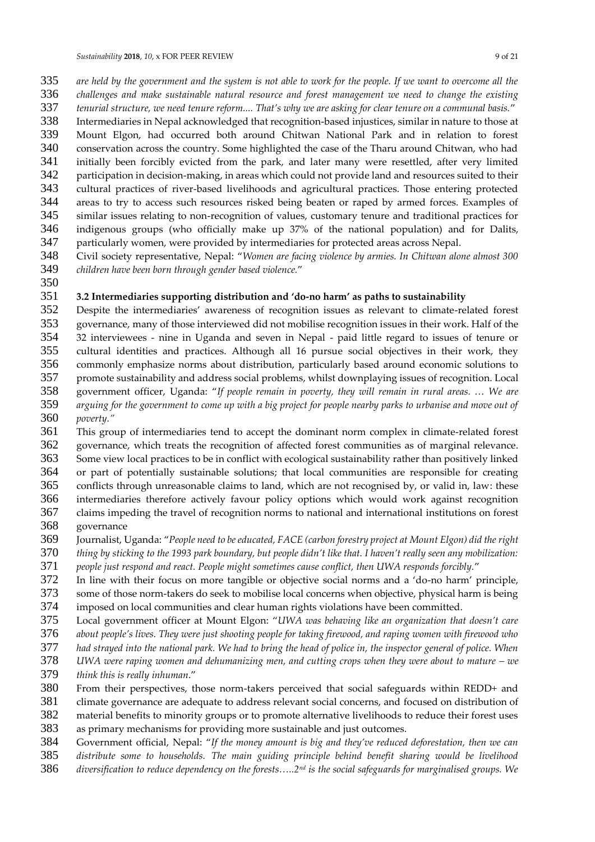- *are held by the government and the system is not able to work for the people. If we want to overcome all the challenges and make sustainable natural resource and forest management we need to change the existing tenurial structure, we need tenure reform.... That's why we are asking for clear tenure on a communal basis.*"
- Intermediaries in Nepal acknowledged that recognition-based injustices, similar in nature to those at
- Mount Elgon, had occurred both around Chitwan National Park and in relation to forest
- conservation across the country. Some highlighted the case of the Tharu around Chitwan, who had initially been forcibly evicted from the park, and later many were resettled, after very limited
- participation in decision-making, in areas which could not provide land and resources suited to their
- cultural practices of river-based livelihoods and agricultural practices. Those entering protected
- 344 areas to try to access such resources risked being beaten or raped by armed forces. Examples of<br>345 similar issues relating to non-recognition of values, customary tenure and traditional practices for
- similar issues relating to non-recognition of values, customary tenure and traditional practices for indigenous groups (who officially make up 37% of the national population) and for Dalits,
- particularly women, were provided by intermediaries for protected areas across Nepal.
- Civil society representative, Nepal: "*Women are facing violence by armies. In Chitwan alone almost 300 children have been born through gender based violence.*"
- 

#### **3.2 Intermediaries supporting distribution and 'do-no harm' as paths to sustainability**

- Despite the intermediaries' awareness of recognition issues as relevant to climate-related forest 353 governance, many of those interviewed did not mobilise recognition issues in their work. Half of the 354 32 interviewees - nine in Uganda and seven in Nepal - paid little regard to issues of tenure or 32 interviewees - nine in Uganda and seven in Nepal - paid little regard to issues of tenure or cultural identities and practices. Although all 16 pursue social objectives in their work, they
- 356 commonly emphasize norms about distribution, particularly based around economic solutions to<br>357 promote sustainability and address social problems, whilst downplaying issues of recognition. Local
- promote sustainability and address social problems, whilst downplaying issues of recognition. Local government officer, Uganda: "*If people remain in poverty, they will remain in rural areas. … We are*
- *arguing for the government to come up with a big project for people nearby parks to urbanise and move out of*
- *poverty."*
- This group of intermediaries tend to accept the dominant norm complex in climate-related forest governance, which treats the recognition of affected forest communities as of marginal relevance.
- Some view local practices to be in conflict with ecological sustainability rather than positively linked or part of potentially sustainable solutions; that local communities are responsible for creating
- conflicts through unreasonable claims to land, which are not recognised by, or valid in, law: these
- intermediaries therefore actively favour policy options which would work against recognition
- claims impeding the travel of recognition norms to national and international institutions on forest governance
- Journalist, Uganda: "*People need to be educated, FACE (carbon forestry project at Mount Elgon) did the right*
- *thing by sticking to the 1993 park boundary, but people didn't like that. I haven't really seen any mobilization:*
- *people just respond and react. People might sometimes cause conflict, then UWA responds forcibly.*"
- In line with their focus on more tangible or objective social norms and a 'do-no harm' principle,
- some of those norm-takers do seek to mobilise local concerns when objective, physical harm is being
- 374 imposed on local communities and clear human rights violations have been committed.<br>375 Local government officer at Mount Elgon: "UWA was behaving like an organization that
- Local government officer at Mount Elgon: "*UWA was behaving like an organization that doesn't care*
- *about people's lives. They were just shooting people for taking firewood, and raping women with firewood who*
- *had strayed into the national park. We had to bring the head of police in, the inspector general of police. When*
- 378 *UWA were raping women and dehumanizing men, and cutting crops when they were about to mature we* <br>379 *think this is really inhuman. think this is really inhuman*."
- From their perspectives, those norm-takers perceived that social safeguards within REDD+ and
- climate governance are adequate to address relevant social concerns, and focused on distribution of
- 382 material benefits to minority groups or to promote alternative livelihoods to reduce their forest uses<br>383 as primary mechanisms for providing more sustainable and just outcomes.
- as primary mechanisms for providing more sustainable and just outcomes.
- Government official, Nepal: "*If the money amount is big and they've reduced deforestation, then we can*
- *distribute some to households. The main guiding principle behind benefit sharing would be livelihood*
- *diversification to reduce dependency on the forests…..2nd is the social safeguards for marginalised groups. We*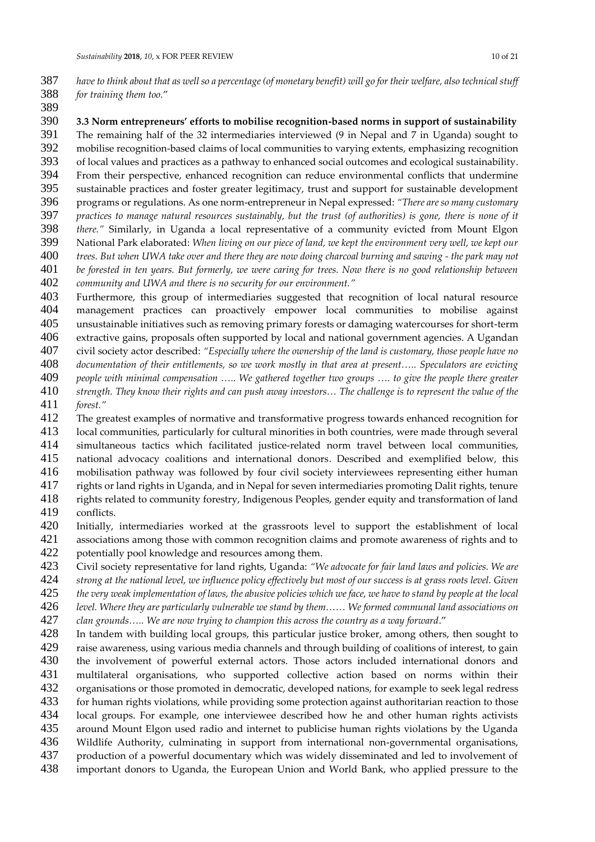- *have to think about that as well so a percentage (of monetary benefit) will go for their welfare, also technical stuff for training them too.*"
- 

**3.3 Norm entrepreneurs' efforts to mobilise recognition-based norms in support of sustainability**

The remaining half of the 32 intermediaries interviewed (9 in Nepal and 7 in Uganda) sought to

mobilise recognition-based claims of local communities to varying extents, emphasizing recognition

- of local values and practices as a pathway to enhanced social outcomes and ecological sustainability.
- From their perspective, enhanced recognition can reduce environmental conflicts that undermine
- sustainable practices and foster greater legitimacy, trust and support for sustainable development
- programs or regulations. As one norm-entrepreneur in Nepal expressed: *"There are so many customary practices to manage natural resources sustainably, but the trust (of authorities) is gone, there is none of it*
- *there."* Similarly, in Uganda a local representative of a community evicted from Mount Elgon
- National Park elaborated: *When living on our piece of land, we kept the environment very well, we kept our*
- *trees. But when UWA take over and there they are now doing charcoal burning and sawing - the park may not*
- *be forested in ten years. But formerly, we were caring for trees. Now there is no good relationship between*
- *community and UWA and there is no security for our environment."*

 Furthermore, this group of intermediaries suggested that recognition of local natural resource management practices can proactively empower local communities to mobilise against unsustainable initiatives such as removing primary forests or damaging watercourses for short-term extractive gains, proposals often supported by local and national government agencies. A Ugandan

civil society actor described: *"Especially where the ownership of the land is customary, those people have no* 

- *documentation of their entitlements, so we work mostly in that area at present….. Speculators are evicting*
- *people with minimal compensation ….. We gathered together two groups …. to give the people there greater*
- *strength. They know their rights and can push away investors… The challenge is to represent the value of the*   $forest.$ "
- The greatest examples of normative and transformative progress towards enhanced recognition for
- 413 local communities, particularly for cultural minorities in both countries, were made through several<br>414 simultaneous tactics which facilitated iustice-related norm travel between local communities. simultaneous tactics which facilitated justice-related norm travel between local communities,
- national advocacy coalitions and international donors. Described and exemplified below, this
- mobilisation pathway was followed by four civil society interviewees representing either human
- 417 rights or land rights in Uganda, and in Nepal for seven intermediaries promoting Dalit rights, tenure<br>418 rights related to community forestry. Indigenous Peoples, gender equity and transformation of land

rights related to community forestry, Indigenous Peoples, gender equity and transformation of land conflicts.

- Initially, intermediaries worked at the grassroots level to support the establishment of local
- 421 associations among those with common recognition claims and promote awareness of rights and to<br>422 obtentially pool knowledge and resources among them.
- 422 potentially pool knowledge and resources among them.<br>423 Civil society representative for land rights. Uganda: "W
- Civil society representative for land rights, Uganda: *"We advocate for fair land laws and policies. We are*
- *strong at the national level, we influence policy effectively but most of our success is at grass roots level. Given*
- *the very weak implementation of laws, the abusive policies which we face, we have to stand by people at the local*
- *level. Where they are particularly vulnerable we stand by them…… We formed communal land associations on*
- *clan grounds….. We are now trying to champion this across the country as a way forward*."
- 428 In tandem with building local groups, this particular justice broker, among others, then sought to<br>429 arise awareness, using various media channels and through building of coalitions of interest, to gain raise awareness, using various media channels and through building of coalitions of interest, to gain 430 the involvement of powerful external actors. Those actors included international donors and<br>431 multilateral organisations, who supported collective action based on norms within their 431 multilateral organisations, who supported collective action based on norms within their<br>432 organisations or those promoted in democratic developed nations for example to seek legal redress organisations or those promoted in democratic, developed nations, for example to seek legal redress
- for human rights violations, while providing some protection against authoritarian reaction to those
- 434 local groups. For example, one interviewee described how he and other human rights activists<br>435 around Mount Elgon used radio and internet to publicise human rights violations by the Uganda
- around Mount Elgon used radio and internet to publicise human rights violations by the Uganda
- Wildlife Authority, culminating in support from international non-governmental organisations,
- production of a powerful documentary which was widely disseminated and led to involvement of
- important donors to Uganda, the European Union and World Bank, who applied pressure to the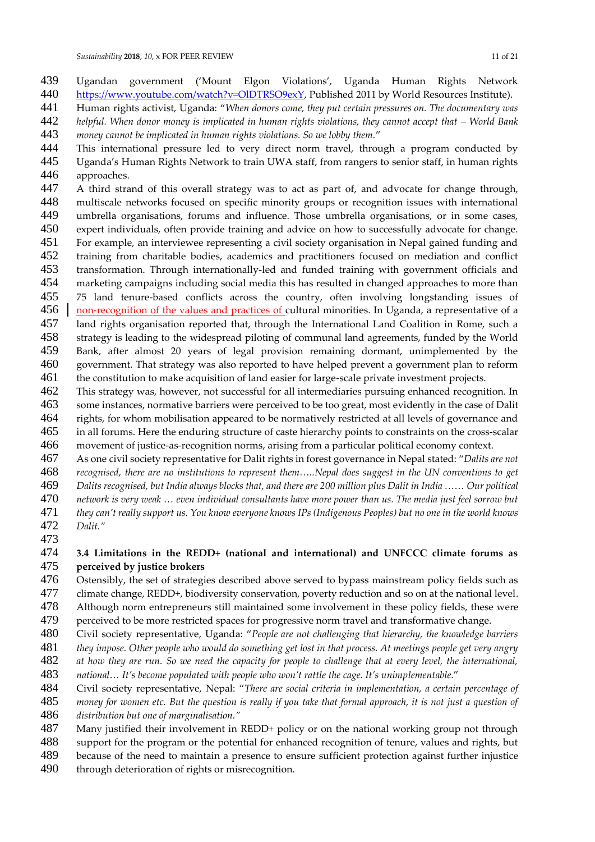- 439 Ugandan government ('Mount Elgon Violations', Uganda Human Rights Network<br>440 https://www.youtube.com/watch?v=OlDTRSO9exY, Published 2011 by World Resources Institute). https://www.youtube.com/watch?v=OIDTRSO9exY, Published 2011 by World Resources Institute).
- Human rights activist, Uganda: "*When donors come, they put certain pressures on. The documentary was helpful. When donor money is implicated in human rights violations, they cannot accept that – World Bank money cannot be implicated in human rights violations. So we lobby them.*"
- This international pressure led to very direct norm travel, through a program conducted by Uganda's Human Rights Network to train UWA staff, from rangers to senior staff, in human rights approaches.
- A third strand of this overall strategy was to act as part of, and advocate for change through, 448 multiscale networks focused on specific minority groups or recognition issues with international<br>449 umbrella organisations, forums and influence. Those umbrella organisations, or in some cases, umbrella organisations, forums and influence. Those umbrella organisations, or in some cases, expert individuals, often provide training and advice on how to successfully advocate for change.
- For example, an interviewee representing a civil society organisation in Nepal gained funding and
- training from charitable bodies, academics and practitioners focused on mediation and conflict
- 453 transformation. Through internationally-led and funded training with government officials and<br>454 marketing campaigns including social media this has resulted in changed approaches to more than marketing campaigns including social media this has resulted in changed approaches to more than
- 75 land tenure-based conflicts across the country, often involving longstanding issues of
- non-recognition of the values and practices of cultural minorities. In Uganda, a representative of a
- land rights organisation reported that, through the International Land Coalition in Rome, such a strategy is leading to the widespread piloting of communal land agreements, funded by the World Bank, after almost 20 years of legal provision remaining dormant, unimplemented by the
- 460 government. That strategy was also reported to have helped prevent a government plan to reform<br>461 the constitution to make acquisition of land easier for large-scale private investment projects. the constitution to make acquisition of land easier for large-scale private investment projects.
- This strategy was, however, not successful for all intermediaries pursuing enhanced recognition. In some instances, normative barriers were perceived to be too great, most evidently in the case of Dalit rights, for whom mobilisation appeared to be normatively restricted at all levels of governance and in all forums. Here the enduring structure of caste hierarchy points to constraints on the cross-scalar
- movement of justice-as-recognition norms, arising from a particular political economy context.
- As one civil society representative for Dalit rights in forest governance in Nepal stated: "*Dalits are not*
- *recognised, there are no institutions to represent them…..Nepal does suggest in the UN conventions to get*
- *Dalits recognised, but India always blocks that, and there are 200 million plus Dalit in India …… Our political*
- *network is very weak … even individual consultants have more power than us. The media just feel sorrow but*
- *they can't really support us. You know everyone knows IPs (Indigenous Peoples) but no one in the world knows Dalit."*
- 

#### **3.4 Limitations in the REDD+ (national and international) and UNFCCC climate forums as**  perceived by justice brokers

- Ostensibly, the set of strategies described above served to bypass mainstream policy fields such as
- climate change, REDD+, biodiversity conservation, poverty reduction and so on at the national level.
- 478 Although norm entrepreneurs still maintained some involvement in these policy fields, these were<br>479 perceived to be more restricted spaces for progressive norm travel and transformative change.
- 479 perceived to be more restricted spaces for progressive norm travel and transformative change.<br>480 Civil society representative, Uganda: "People are not challenging that hierarchy, the knowledge b
- Civil society representative, Uganda: "*People are not challenging that hierarchy, the knowledge barriers*
- *they impose. Other people who would do something get lost in that process. At meetings people get very angry*
- *at how they are run. So we need the capacity for people to challenge that at every level, the international,*
- *national… It's become populated with people who won't rattle the cage. It's unimplementable*."
- Civil society representative, Nepal: "*There are social criteria in implementation, a certain percentage of*
- *money for women etc. But the question is really if you take that formal approach, it is not just a question of*
- *distribution but one of marginalisation."* Many justified their involvement in REDD+ policy or on the national working group not through
- support for the program or the potential for enhanced recognition of tenure, values and rights, but
- because of the need to maintain a presence to ensure sufficient protection against further injustice
- through deterioration of rights or misrecognition.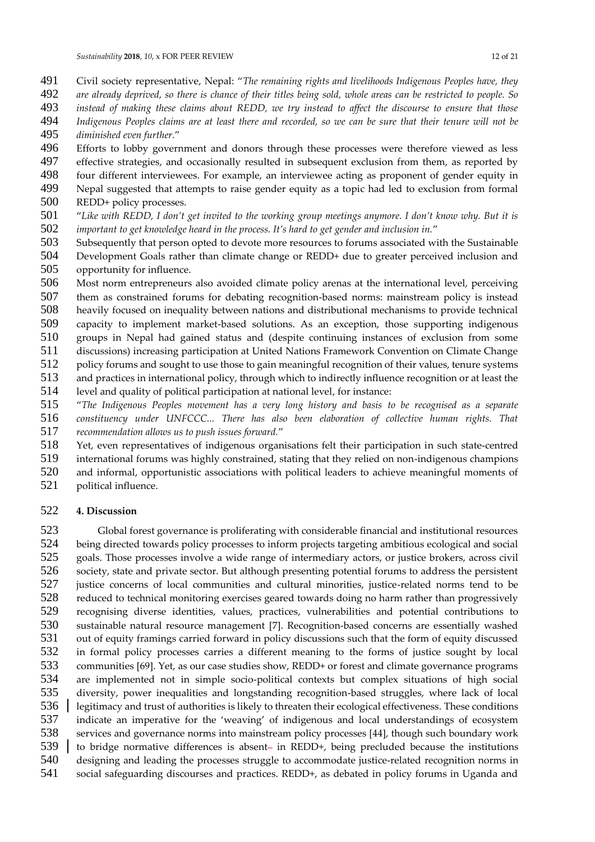- Civil society representative, Nepal: "*The remaining rights and livelihoods Indigenous Peoples have, they*
- *are already deprived, so there is chance of their titles being sold, whole areas can be restricted to people. So*
- *instead of making these claims about REDD, we try instead to affect the discourse to ensure that those Indigenous Peoples claims are at least there and recorded, so we can be sure that their tenure will not be*
- *diminished even further.*"
- Efforts to lobby government and donors through these processes were therefore viewed as less
- effective strategies, and occasionally resulted in subsequent exclusion from them, as reported by
- four different interviewees. For example, an interviewee acting as proponent of gender equity in
- Nepal suggested that attempts to raise gender equity as a topic had led to exclusion from formal
- REDD+ policy processes.
- "*Like with REDD, I don't get invited to the working group meetings anymore. I don't know why. But it is important to get knowledge heard in the process. It's hard to get gender and inclusion in.*"
- Subsequently that person opted to devote more resources to forums associated with the Sustainable Development Goals rather than climate change or REDD+ due to greater perceived inclusion and
- opportunity for influence.
- Most norm entrepreneurs also avoided climate policy arenas at the international level, perceiving
- them as constrained forums for debating recognition-based norms: mainstream policy is instead
- heavily focused on inequality between nations and distributional mechanisms to provide technical
- capacity to implement market-based solutions. As an exception, those supporting indigenous
- groups in Nepal had gained status and (despite continuing instances of exclusion from some
- discussions) increasing participation at United Nations Framework Convention on Climate Change
- policy forums and sought to use those to gain meaningful recognition of their values, tenure systems
- and practices in international policy, through which to indirectly influence recognition or at least the
- 514 level and quality of political participation at national level, for instance:<br>515 "The Indigenous Peoples movement has a very long history and hasis to
- "*The Indigenous Peoples movement has a very long history and basis to be recognised as a separate constituency under UNFCCC... There has also been elaboration of collective human rights. That recommendation allows us to push issues forward.*"
- Yet, even representatives of indigenous organisations felt their participation in such state-centred
- 519 international forums was highly constrained, stating that they relied on non-indigenous champions<br>520 and informal, opportunistic associations with political leaders to achieve meaningful moments of
- and informal, opportunistic associations with political leaders to achieve meaningful moments of
- political influence.

#### **4. Discussion**

523 Global forest governance is proliferating with considerable financial and institutional resources<br>524 being directed towards policy processes to inform projects targeting ambitious ecological and social being directed towards policy processes to inform projects targeting ambitious ecological and social goals. Those processes involve a wide range of intermediary actors, or justice brokers, across civil 526 society, state and private sector. But although presenting potential forums to address the persistent<br>527 iustice concerns of local communities and cultural minorities, iustice-related norms tend to be justice concerns of local communities and cultural minorities, justice-related norms tend to be 528 reduced to technical monitoring exercises geared towards doing no harm rather than progressively<br>529 recognising diverse identities, values, practices, vulnerabilities and potential contributions to recognising diverse identities, values, practices, vulnerabilities and potential contributions to sustainable natural resource management [7]. Recognition-based concerns are essentially washed out of equity framings carried forward in policy discussions such that the form of equity discussed in formal policy processes carries a different meaning to the forms of justice sought by local communities [69]. Yet, as our case studies show, REDD+ or forest and climate governance programs are implemented not in simple socio-political contexts but complex situations of high social diversity, power inequalities and longstanding recognition-based struggles, where lack of local 536 | legitimacy and trust of authorities is likely to threaten their ecological effectiveness. These conditions indicate an imperative for the 'weaving' of indigenous and local understandings of ecosystem services and governance norms into mainstream policy processes [44], though such boundary work to bridge normative differences is absent- in REDD+, being precluded because the institutions designing and leading the processes struggle to accommodate justice-related recognition norms in social safeguarding discourses and practices. REDD+, as debated in policy forums in Uganda and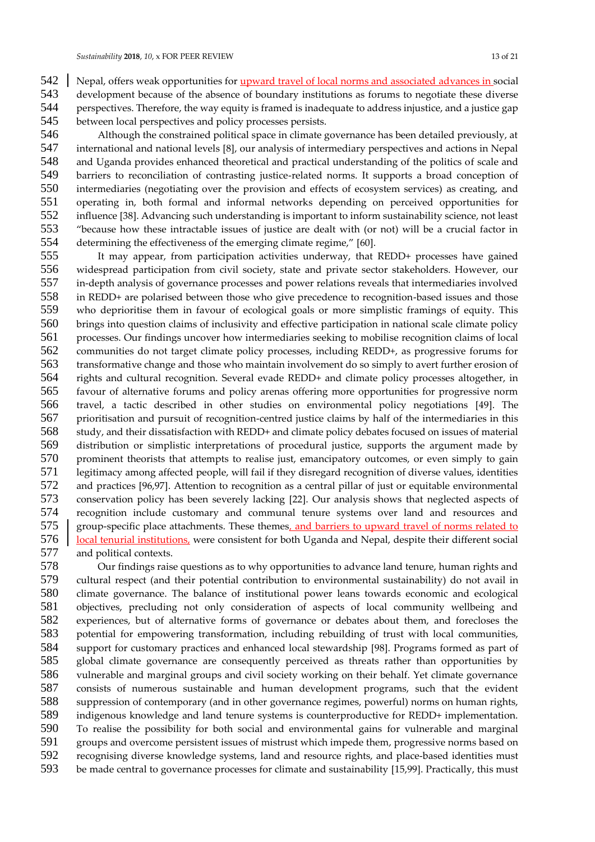542 Nepal, offers weak opportunities for *upward travel of local norms and associated advances in social* 

 development because of the absence of boundary institutions as forums to negotiate these diverse perspectives. Therefore, the way equity is framed is inadequate to address injustice, and a justice gap between local perspectives and policy processes persists.

 Although the constrained political space in climate governance has been detailed previously, at international and national levels [8], our analysis of intermediary perspectives and actions in Nepal and Uganda provides enhanced theoretical and practical understanding of the politics of scale and barriers to reconciliation of contrasting justice-related norms. It supports a broad conception of intermediaries (negotiating over the provision and effects of ecosystem services) as creating, and operating in, both formal and informal networks depending on perceived opportunities for influence [38]. Advancing such understanding is important to inform sustainability science, not least "because how these intractable issues of justice are dealt with (or not) will be a crucial factor in determining the effectiveness of the emerging climate regime," [60].

 It may appear, from participation activities underway, that REDD+ processes have gained widespread participation from civil society, state and private sector stakeholders. However, our in-depth analysis of governance processes and power relations reveals that intermediaries involved in REDD+ are polarised between those who give precedence to recognition-based issues and those who deprioritise them in favour of ecological goals or more simplistic framings of equity. This brings into question claims of inclusivity and effective participation in national scale climate policy processes. Our findings uncover how intermediaries seeking to mobilise recognition claims of local communities do not target climate policy processes, including REDD+, as progressive forums for transformative change and those who maintain involvement do so simply to avert further erosion of rights and cultural recognition. Several evade REDD+ and climate policy processes altogether, in favour of alternative forums and policy arenas offering more opportunities for progressive norm travel, a tactic described in other studies on environmental policy negotiations [49]. The prioritisation and pursuit of recognition-centred justice claims by half of the intermediaries in this study, and their dissatisfaction with REDD+ and climate policy debates focused on issues of material distribution or simplistic interpretations of procedural justice, supports the argument made by 570 prominent theorists that attempts to realise just, emancipatory outcomes, or even simply to gain<br>571 legitimacy among affected people, will fail if they disregard recognition of diverse values, identities legitimacy among affected people, will fail if they disregard recognition of diverse values, identities 572 and practices [96,97]. Attention to recognition as a central pillar of just or equitable environmental<br>573 conservation policy has been severely lacking [22]. Our analysis shows that neglected aspects of conservation policy has been severely lacking [22]. Our analysis shows that neglected aspects of recognition include customary and communal tenure systems over land and resources and 575 group-specific place attachments. These themes, and barriers to upward travel of norms related to | local tenurial institutions, were consistent for both Uganda and Nepal, despite their different social and political contexts.

 Our findings raise questions as to why opportunities to advance land tenure, human rights and cultural respect (and their potential contribution to environmental sustainability) do not avail in 580 climate governance. The balance of institutional power leans towards economic and ecological<br>581 objectives, precluding not only consideration of aspects of local community wellbeing and objectives, precluding not only consideration of aspects of local community wellbeing and experiences, but of alternative forms of governance or debates about them, and forecloses the potential for empowering transformation, including rebuilding of trust with local communities, support for customary practices and enhanced local stewardship [98]. Programs formed as part of global climate governance are consequently perceived as threats rather than opportunities by vulnerable and marginal groups and civil society working on their behalf. Yet climate governance consists of numerous sustainable and human development programs, such that the evident suppression of contemporary (and in other governance regimes, powerful) norms on human rights, 589 indigenous knowledge and land tenure systems is counterproductive for REDD+ implementation.<br>590 To realise the possibility for both social and environmental gains for vulnerable and marginal To realise the possibility for both social and environmental gains for vulnerable and marginal groups and overcome persistent issues of mistrust which impede them, progressive norms based on recognising diverse knowledge systems, land and resource rights, and place-based identities must be made central to governance processes for climate and sustainability [15,99]. Practically, this must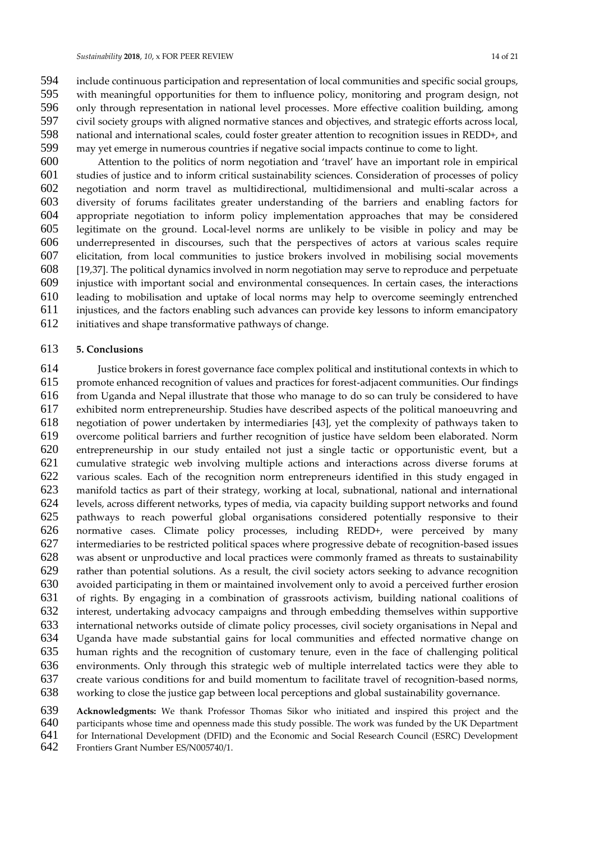include continuous participation and representation of local communities and specific social groups, with meaningful opportunities for them to influence policy, monitoring and program design, not only through representation in national level processes. More effective coalition building, among civil society groups with aligned normative stances and objectives, and strategic efforts across local, national and international scales, could foster greater attention to recognition issues in REDD+, and may yet emerge in numerous countries if negative social impacts continue to come to light.

 Attention to the politics of norm negotiation and 'travel' have an important role in empirical studies of justice and to inform critical sustainability sciences. Consideration of processes of policy negotiation and norm travel as multidirectional, multidimensional and multi-scalar across a diversity of forums facilitates greater understanding of the barriers and enabling factors for appropriate negotiation to inform policy implementation approaches that may be considered legitimate on the ground. Local-level norms are unlikely to be visible in policy and may be underrepresented in discourses, such that the perspectives of actors at various scales require elicitation, from local communities to justice brokers involved in mobilising social movements [19,37]. The political dynamics involved in norm negotiation may serve to reproduce and perpetuate injustice with important social and environmental consequences. In certain cases, the interactions leading to mobilisation and uptake of local norms may help to overcome seemingly entrenched injustices, and the factors enabling such advances can provide key lessons to inform emancipatory

initiatives and shape transformative pathways of change.

#### **5. Conclusions**

 Justice brokers in forest governance face complex political and institutional contexts in which to promote enhanced recognition of values and practices for forest-adjacent communities. Our findings from Uganda and Nepal illustrate that those who manage to do so can truly be considered to have exhibited norm entrepreneurship. Studies have described aspects of the political manoeuvring and negotiation of power undertaken by intermediaries [43], yet the complexity of pathways taken to overcome political barriers and further recognition of justice have seldom been elaborated. Norm entrepreneurship in our study entailed not just a single tactic or opportunistic event, but a cumulative strategic web involving multiple actions and interactions across diverse forums at various scales. Each of the recognition norm entrepreneurs identified in this study engaged in manifold tactics as part of their strategy, working at local, subnational, national and international levels, across different networks, types of media, via capacity building support networks and found pathways to reach powerful global organisations considered potentially responsive to their normative cases. Climate policy processes, including REDD+, were perceived by many intermediaries to be restricted political spaces where progressive debate of recognition-based issues was absent or unproductive and local practices were commonly framed as threats to sustainability rather than potential solutions. As a result, the civil society actors seeking to advance recognition avoided participating in them or maintained involvement only to avoid a perceived further erosion of rights. By engaging in a combination of grassroots activism, building national coalitions of interest, undertaking advocacy campaigns and through embedding themselves within supportive international networks outside of climate policy processes, civil society organisations in Nepal and Uganda have made substantial gains for local communities and effected normative change on human rights and the recognition of customary tenure, even in the face of challenging political environments. Only through this strategic web of multiple interrelated tactics were they able to create various conditions for and build momentum to facilitate travel of recognition-based norms, working to close the justice gap between local perceptions and global sustainability governance.

**Acknowledgments:** We thank Professor Thomas Sikor who initiated and inspired this project and the

640 participants whose time and openness made this study possible. The work was funded by the UK Department 641 for International Development (DFID) and the Economic and Social Research Council (ESRC) Development for International Development (DFID) and the Economic and Social Research Council (ESRC) Development

Frontiers Grant Number ES/N005740/1.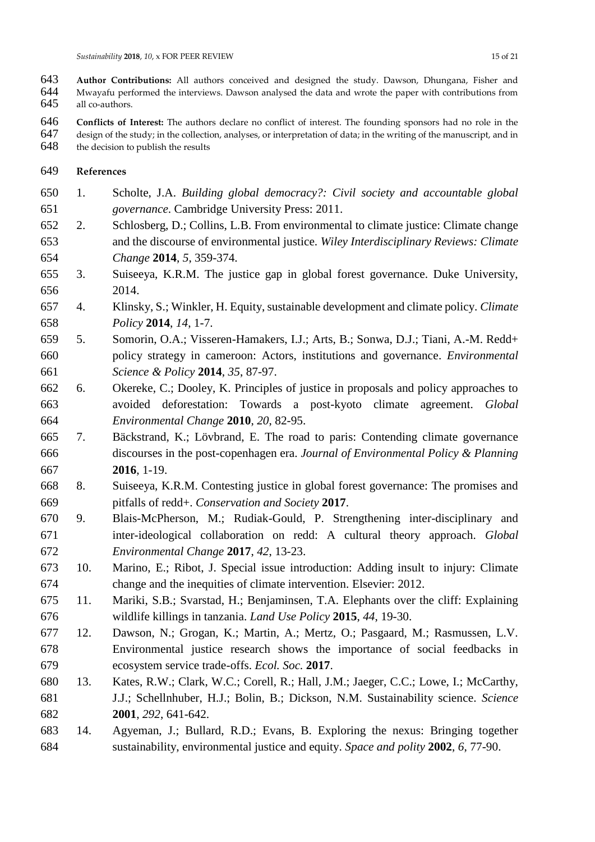- **Author Contributions:** All authors conceived and designed the study. Dawson, Dhungana, Fisher and 644 Mwayafu performed the interviews. Dawson analysed the data and wrote the paper with contributions from<br>645 all co-authors. all co-authors.
- **Conflicts of Interest:** The authors declare no conflict of interest. The founding sponsors had no role in the design of the study; in the collection, analyses, or interpretation of data; in the writing of the manuscript, and in 648 the decision to publish the results
- **References**
- 1. Scholte, J.A. *Building global democracy?: Civil society and accountable global governance*. Cambridge University Press: 2011.
- 2. Schlosberg, D.; Collins, L.B. From environmental to climate justice: Climate change and the discourse of environmental justice. *Wiley Interdisciplinary Reviews: Climate Change* **2014**, *5*, 359-374.
- 3. Suiseeya, K.R.M. The justice gap in global forest governance. Duke University, 2014.
- 4. Klinsky, S.; Winkler, H. Equity, sustainable development and climate policy. *Climate Policy* **2014**, *14*, 1-7.
- 5. Somorin, O.A.; Visseren-Hamakers, I.J.; Arts, B.; Sonwa, D.J.; Tiani, A.-M. Redd+ policy strategy in cameroon: Actors, institutions and governance. *Environmental Science & Policy* **2014**, *35*, 87-97.
- 6. Okereke, C.; Dooley, K. Principles of justice in proposals and policy approaches to avoided deforestation: Towards a post-kyoto climate agreement. *Global Environmental Change* **2010**, *20*, 82-95.
- 7. Bäckstrand, K.; Lövbrand, E. The road to paris: Contending climate governance discourses in the post-copenhagen era. *Journal of Environmental Policy & Planning*  **2016**, 1-19.
- 8. Suiseeya, K.R.M. Contesting justice in global forest governance: The promises and pitfalls of redd+. *Conservation and Society* **2017**.
- 9. Blais-McPherson, M.; Rudiak-Gould, P. Strengthening inter-disciplinary and inter-ideological collaboration on redd: A cultural theory approach. *Global Environmental Change* **2017**, *42*, 13-23.
- 10. Marino, E.; Ribot, J. Special issue introduction: Adding insult to injury: Climate change and the inequities of climate intervention. Elsevier: 2012.
- 11. Mariki, S.B.; Svarstad, H.; Benjaminsen, T.A. Elephants over the cliff: Explaining wildlife killings in tanzania. *Land Use Policy* **2015**, *44*, 19-30.
- 12. Dawson, N.; Grogan, K.; Martin, A.; Mertz, O.; Pasgaard, M.; Rasmussen, L.V. Environmental justice research shows the importance of social feedbacks in ecosystem service trade-offs. *Ecol. Soc.* **2017**.
- 13. Kates, R.W.; Clark, W.C.; Corell, R.; Hall, J.M.; Jaeger, C.C.; Lowe, I.; McCarthy, J.J.; Schellnhuber, H.J.; Bolin, B.; Dickson, N.M. Sustainability science. *Science*  **2001**, *292*, 641-642.
- 14. Agyeman, J.; Bullard, R.D.; Evans, B. Exploring the nexus: Bringing together sustainability, environmental justice and equity. *Space and polity* **2002**, *6*, 77-90.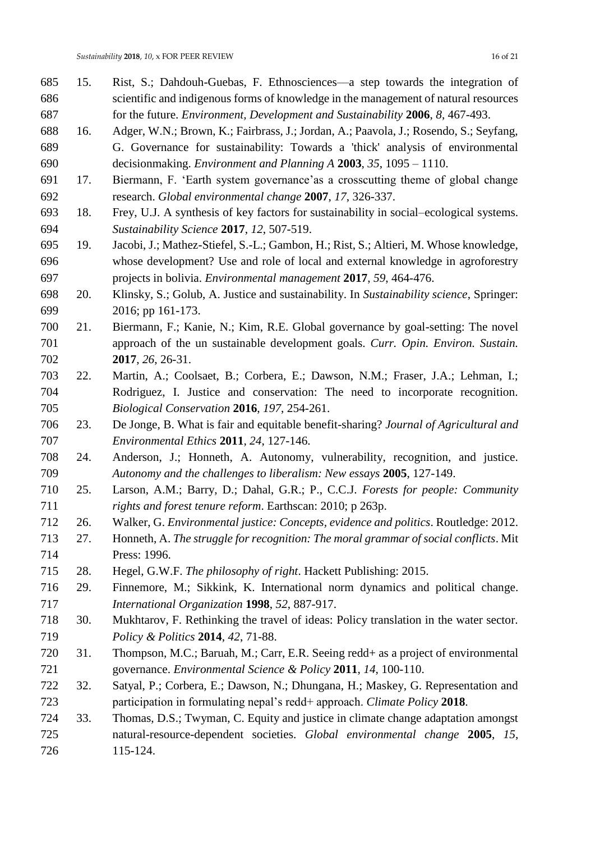| 685 | 15. | Rist, S.; Dahdouh-Guebas, F. Ethnosciences—a step towards the integration of                                                                     |
|-----|-----|--------------------------------------------------------------------------------------------------------------------------------------------------|
| 686 |     | scientific and indigenous forms of knowledge in the management of natural resources                                                              |
| 687 |     | for the future. <i>Environment</i> , <i>Development and Sustainability</i> <b>2006</b> , 8, 467-493.                                             |
| 688 | 16. | Adger, W.N.; Brown, K.; Fairbrass, J.; Jordan, A.; Paavola, J.; Rosendo, S.; Seyfang,                                                            |
| 689 |     | G. Governance for sustainability: Towards a 'thick' analysis of environmental                                                                    |
| 690 |     | decisionmaking. <i>Environment and Planning A</i> 2003, 35, 1095 – 1110.                                                                         |
| 691 | 17. | Biermann, F. 'Earth system governance' as a crosscutting theme of global change                                                                  |
| 692 |     | research. Global environmental change 2007, 17, 326-337.                                                                                         |
| 693 | 18. | Frey, U.J. A synthesis of key factors for sustainability in social-ecological systems.                                                           |
| 694 |     | Sustainability Science 2017, 12, 507-519.                                                                                                        |
| 695 | 19. | Jacobi, J.; Mathez-Stiefel, S.-L.; Gambon, H.; Rist, S.; Altieri, M. Whose knowledge,                                                            |
| 696 |     | whose development? Use and role of local and external knowledge in agroforestry                                                                  |
| 697 |     | projects in bolivia. Environmental management 2017, 59, 464-476.                                                                                 |
| 698 | 20. | Klinsky, S.; Golub, A. Justice and sustainability. In Sustainability science, Springer:                                                          |
| 699 |     | 2016; pp 161-173.                                                                                                                                |
| 700 | 21. | Biermann, F.; Kanie, N.; Kim, R.E. Global governance by goal-setting: The novel                                                                  |
| 701 |     | approach of the un sustainable development goals. Curr. Opin. Environ. Sustain.                                                                  |
| 702 |     | 2017, 26, 26-31.                                                                                                                                 |
| 703 | 22. | Martin, A.; Coolsaet, B.; Corbera, E.; Dawson, N.M.; Fraser, J.A.; Lehman, I.;                                                                   |
| 704 |     | Rodriguez, I. Justice and conservation: The need to incorporate recognition.                                                                     |
| 705 |     | Biological Conservation 2016, 197, 254-261.                                                                                                      |
| 706 | 23. | De Jonge, B. What is fair and equitable benefit-sharing? Journal of Agricultural and                                                             |
| 707 |     | Environmental Ethics 2011, 24, 127-146.                                                                                                          |
| 708 | 24. | Anderson, J.; Honneth, A. Autonomy, vulnerability, recognition, and justice.                                                                     |
| 709 |     | Autonomy and the challenges to liberalism: New essays 2005, 127-149.                                                                             |
| 710 | 25. | Larson, A.M.; Barry, D.; Dahal, G.R.; P., C.C.J. Forests for people: Community                                                                   |
| 711 |     |                                                                                                                                                  |
| 712 |     | rights and forest tenure reform. Earthscan: 2010; p 263p.<br>Walker, G. Environmental justice: Concepts, evidence and politics. Routledge: 2012. |
|     | 26. |                                                                                                                                                  |
| 713 | 27. | Honneth, A. The struggle for recognition: The moral grammar of social conflicts. Mit                                                             |
| 714 |     | Press: 1996.                                                                                                                                     |
| 715 | 28. | Hegel, G.W.F. The philosophy of right. Hackett Publishing: 2015.                                                                                 |
| 716 | 29. | Finnemore, M.; Sikkink, K. International norm dynamics and political change.                                                                     |
| 717 |     | International Organization 1998, 52, 887-917.                                                                                                    |
| 718 | 30. | Mukhtarov, F. Rethinking the travel of ideas: Policy translation in the water sector.                                                            |
| 719 |     | Policy & Politics 2014, 42, 71-88.                                                                                                               |
| 720 | 31. | Thompson, M.C.; Baruah, M.; Carr, E.R. Seeing redd+ as a project of environmental                                                                |
| 721 |     | governance. Environmental Science & Policy 2011, 14, 100-110.                                                                                    |
| 722 | 32. | Satyal, P.; Corbera, E.; Dawson, N.; Dhungana, H.; Maskey, G. Representation and                                                                 |
| 723 |     | participation in formulating nepal's redd+ approach. Climate Policy 2018.                                                                        |
| 724 | 33. | Thomas, D.S.; Twyman, C. Equity and justice in climate change adaptation amongst                                                                 |
| 725 |     | natural-resource-dependent societies. Global environmental change 2005, 15,                                                                      |
| 726 |     | 115-124.                                                                                                                                         |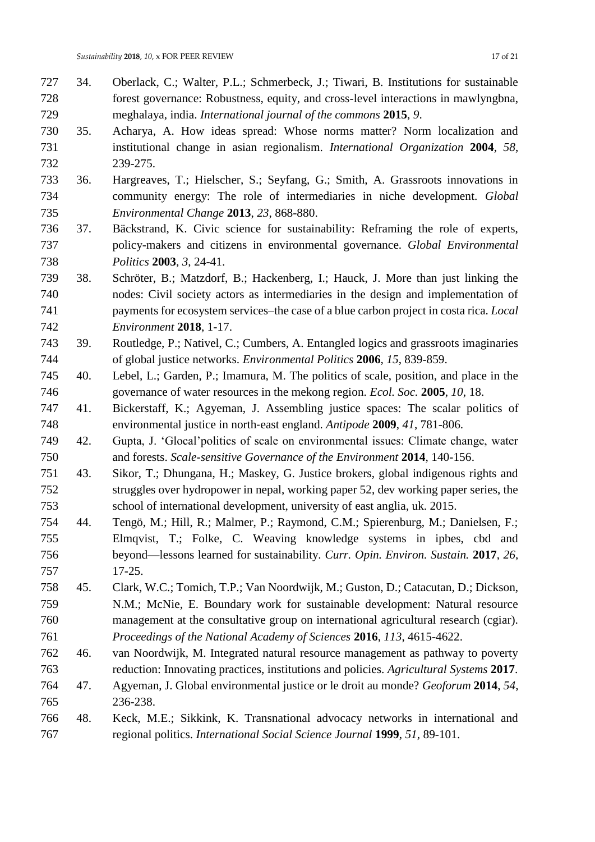- 34. Oberlack, C.; Walter, P.L.; Schmerbeck, J.; Tiwari, B. Institutions for sustainable forest governance: Robustness, equity, and cross-level interactions in mawlyngbna, meghalaya, india. *International journal of the commons* **2015**, *9*.
- 35. Acharya, A. How ideas spread: Whose norms matter? Norm localization and institutional change in asian regionalism. *International Organization* **2004**, *58*, 239-275.
- 36. Hargreaves, T.; Hielscher, S.; Seyfang, G.; Smith, A. Grassroots innovations in community energy: The role of intermediaries in niche development. *Global Environmental Change* **2013**, *23*, 868-880.
- 37. Bäckstrand, K. Civic science for sustainability: Reframing the role of experts, policy-makers and citizens in environmental governance. *Global Environmental Politics* **2003**, *3*, 24-41.
- 38. Schröter, B.; Matzdorf, B.; Hackenberg, I.; Hauck, J. More than just linking the nodes: Civil society actors as intermediaries in the design and implementation of payments for ecosystem services–the case of a blue carbon project in costa rica. *Local Environment* **2018**, 1-17.
- 39. Routledge, P.; Nativel, C.; Cumbers, A. Entangled logics and grassroots imaginaries of global justice networks. *Environmental Politics* **2006**, *15*, 839-859.
- 40. Lebel, L.; Garden, P.; Imamura, M. The politics of scale, position, and place in the governance of water resources in the mekong region. *Ecol. Soc.* **2005**, *10*, 18.
- 41. Bickerstaff, K.; Agyeman, J. Assembling justice spaces: The scalar politics of environmental justice in north‐east england. *Antipode* **2009**, *41*, 781-806.
- 42. Gupta, J. 'Glocal'politics of scale on environmental issues: Climate change, water and forests. *Scale-sensitive Governance of the Environment* **2014**, 140-156.
- 43. Sikor, T.; Dhungana, H.; Maskey, G. Justice brokers, global indigenous rights and struggles over hydropower in nepal, working paper 52, dev working paper series, the school of international development, university of east anglia, uk. 2015.
- 44. Tengö, M.; Hill, R.; Malmer, P.; Raymond, C.M.; Spierenburg, M.; Danielsen, F.; Elmqvist, T.; Folke, C. Weaving knowledge systems in ipbes, cbd and beyond—lessons learned for sustainability. *Curr. Opin. Environ. Sustain.* **2017**, *26*, 17-25.
- 45. Clark, W.C.; Tomich, T.P.; Van Noordwijk, M.; Guston, D.; Catacutan, D.; Dickson, N.M.; McNie, E. Boundary work for sustainable development: Natural resource management at the consultative group on international agricultural research (cgiar). *Proceedings of the National Academy of Sciences* **2016**, *113*, 4615-4622.
- 46. van Noordwijk, M. Integrated natural resource management as pathway to poverty reduction: Innovating practices, institutions and policies. *Agricultural Systems* **2017**.
- 47. Agyeman, J. Global environmental justice or le droit au monde? *Geoforum* **2014**, *54*, 236-238.
- 48. Keck, M.E.; Sikkink, K. Transnational advocacy networks in international and regional politics. *International Social Science Journal* **1999**, *51*, 89-101.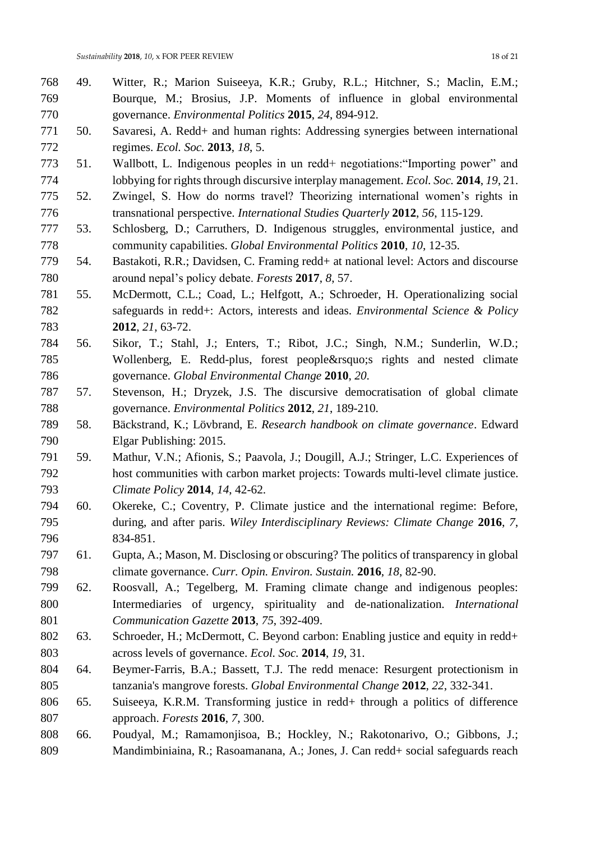- 49. Witter, R.; Marion Suiseeya, K.R.; Gruby, R.L.; Hitchner, S.; Maclin, E.M.; Bourque, M.; Brosius, J.P. Moments of influence in global environmental governance. *Environmental Politics* **2015**, *24*, 894-912.
- 50. Savaresi, A. Redd+ and human rights: Addressing synergies between international regimes. *Ecol. Soc.* **2013**, *18*, 5.
- 51. Wallbott, L. Indigenous peoples in un redd+ negotiations:"Importing power" and lobbying for rights through discursive interplay management. *Ecol. Soc.* **2014**, *19*, 21.
- 52. Zwingel, S. How do norms travel? Theorizing international women's rights in transnational perspective. *International Studies Quarterly* **2012**, *56*, 115-129.
- 53. Schlosberg, D.; Carruthers, D. Indigenous struggles, environmental justice, and community capabilities. *Global Environmental Politics* **2010**, *10*, 12-35.
- 54. Bastakoti, R.R.; Davidsen, C. Framing redd+ at national level: Actors and discourse around nepal's policy debate. *Forests* **2017**, *8*, 57.
- 55. McDermott, C.L.; Coad, L.; Helfgott, A.; Schroeder, H. Operationalizing social safeguards in redd+: Actors, interests and ideas. *Environmental Science & Policy*  **2012**, *21*, 63-72.
- 56. Sikor, T.; Stahl, J.; Enters, T.; Ribot, J.C.; Singh, N.M.; Sunderlin, W.D.; 785 Wollenberg, E. Redd-plus, forest people' rights and nested climate governance. *Global Environmental Change* **2010**, *20*.
- 57. Stevenson, H.; Dryzek, J.S. The discursive democratisation of global climate governance. *Environmental Politics* **2012**, *21*, 189-210.
- 58. Bäckstrand, K.; Lövbrand, E. *Research handbook on climate governance*. Edward Elgar Publishing: 2015.
- 59. Mathur, V.N.; Afionis, S.; Paavola, J.; Dougill, A.J.; Stringer, L.C. Experiences of host communities with carbon market projects: Towards multi-level climate justice. *Climate Policy* **2014**, *14*, 42-62.
- 60. Okereke, C.; Coventry, P. Climate justice and the international regime: Before, during, and after paris. *Wiley Interdisciplinary Reviews: Climate Change* **2016**, *7*, 834-851.
- 61. Gupta, A.; Mason, M. Disclosing or obscuring? The politics of transparency in global climate governance. *Curr. Opin. Environ. Sustain.* **2016**, *18*, 82-90.
- 62. Roosvall, A.; Tegelberg, M. Framing climate change and indigenous peoples: Intermediaries of urgency, spirituality and de-nationalization. *International Communication Gazette* **2013**, *75*, 392-409.
- 63. Schroeder, H.; McDermott, C. Beyond carbon: Enabling justice and equity in redd+ across levels of governance. *Ecol. Soc.* **2014**, *19*, 31.
- 64. Beymer-Farris, B.A.; Bassett, T.J. The redd menace: Resurgent protectionism in tanzania's mangrove forests. *Global Environmental Change* **2012**, *22*, 332-341.
- 65. Suiseeya, K.R.M. Transforming justice in redd+ through a politics of difference approach. *Forests* **2016**, *7*, 300.
- 66. Poudyal, M.; Ramamonjisoa, B.; Hockley, N.; Rakotonarivo, O.; Gibbons, J.; Mandimbiniaina, R.; Rasoamanana, A.; Jones, J. Can redd+ social safeguards reach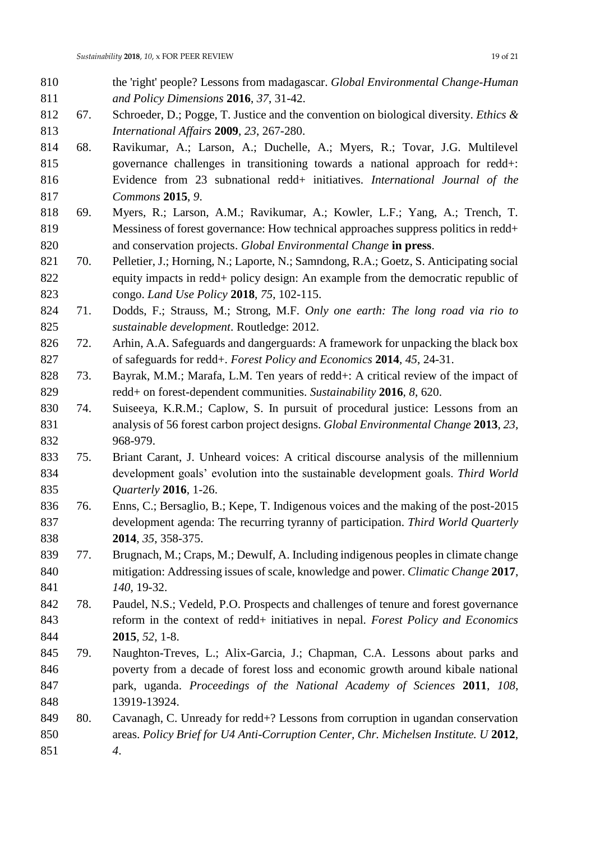- the 'right' people? Lessons from madagascar. *Global Environmental Change-Human and Policy Dimensions* **2016**, *37*, 31-42.
- 67. Schroeder, D.; Pogge, T. Justice and the convention on biological diversity. *Ethics & International Affairs* **2009**, *23*, 267-280.
- 68. Ravikumar, A.; Larson, A.; Duchelle, A.; Myers, R.; Tovar, J.G. Multilevel governance challenges in transitioning towards a national approach for redd+: Evidence from 23 subnational redd+ initiatives. *International Journal of the Commons* **2015**, *9*.
- 69. Myers, R.; Larson, A.M.; Ravikumar, A.; Kowler, L.F.; Yang, A.; Trench, T. Messiness of forest governance: How technical approaches suppress politics in redd+ and conservation projects. *Global Environmental Change* **in press**.
- 70. Pelletier, J.; Horning, N.; Laporte, N.; Samndong, R.A.; Goetz, S. Anticipating social equity impacts in redd+ policy design: An example from the democratic republic of congo. *Land Use Policy* **2018**, *75*, 102-115.
- 71. Dodds, F.; Strauss, M.; Strong, M.F. *Only one earth: The long road via rio to sustainable development*. Routledge: 2012.
- 72. Arhin, A.A. Safeguards and dangerguards: A framework for unpacking the black box of safeguards for redd+. *Forest Policy and Economics* **2014**, *45*, 24-31.
- 73. Bayrak, M.M.; Marafa, L.M. Ten years of redd+: A critical review of the impact of redd+ on forest-dependent communities. *Sustainability* **2016**, *8*, 620.
- 74. Suiseeya, K.R.M.; Caplow, S. In pursuit of procedural justice: Lessons from an analysis of 56 forest carbon project designs. *Global Environmental Change* **2013**, *23*, 968-979.
- 75. Briant Carant, J. Unheard voices: A critical discourse analysis of the millennium development goals' evolution into the sustainable development goals. *Third World Quarterly* **2016**, 1-26.
- 76. Enns, C.; Bersaglio, B.; Kepe, T. Indigenous voices and the making of the post-2015 development agenda: The recurring tyranny of participation. *Third World Quarterly*  **2014**, *35*, 358-375.
- 77. Brugnach, M.; Craps, M.; Dewulf, A. Including indigenous peoples in climate change mitigation: Addressing issues of scale, knowledge and power. *Climatic Change* **2017**, *140*, 19-32.
- 78. Paudel, N.S.; Vedeld, P.O. Prospects and challenges of tenure and forest governance reform in the context of redd+ initiatives in nepal. *Forest Policy and Economics*  **2015**, *52*, 1-8.
- 79. Naughton-Treves, L.; Alix-Garcia, J.; Chapman, C.A. Lessons about parks and poverty from a decade of forest loss and economic growth around kibale national park, uganda. *Proceedings of the National Academy of Sciences* **2011**, *108*, 13919-13924.
- 80. Cavanagh, C. Unready for redd+? Lessons from corruption in ugandan conservation areas. *Policy Brief for U4 Anti-Corruption Center, Chr. Michelsen Institute. U* **2012**, *4*.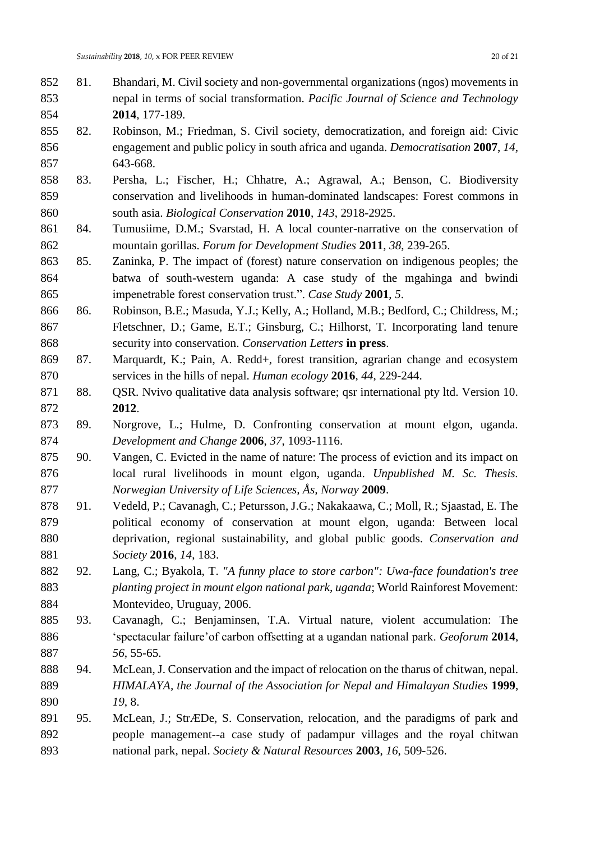- 81. Bhandari, M. Civil society and non-governmental organizations (ngos) movements in nepal in terms of social transformation. *Pacific Journal of Science and Technology*  **2014**, 177-189.
- 82. Robinson, M.; Friedman, S. Civil society, democratization, and foreign aid: Civic engagement and public policy in south africa and uganda. *Democratisation* **2007**, *14*, 643-668.
- 83. Persha, L.; Fischer, H.; Chhatre, A.; Agrawal, A.; Benson, C. Biodiversity conservation and livelihoods in human-dominated landscapes: Forest commons in south asia. *Biological Conservation* **2010**, *143*, 2918-2925.
- 84. Tumusiime, D.M.; Svarstad, H. A local counter-narrative on the conservation of mountain gorillas. *Forum for Development Studies* **2011**, *38*, 239-265.
- 85. Zaninka, P. The impact of (forest) nature conservation on indigenous peoples; the batwa of south-western uganda: A case study of the mgahinga and bwindi impenetrable forest conservation trust.". *Case Study* **2001**, *5*.
- 86. Robinson, B.E.; Masuda, Y.J.; Kelly, A.; Holland, M.B.; Bedford, C.; Childress, M.; Fletschner, D.; Game, E.T.; Ginsburg, C.; Hilhorst, T. Incorporating land tenure security into conservation. *Conservation Letters* **in press**.
- 87. Marquardt, K.; Pain, A. Redd+, forest transition, agrarian change and ecosystem services in the hills of nepal. *Human ecology* **2016**, *44*, 229-244.
- 871 88. QSR. Nvivo qualitative data analysis software; qsr international pty ltd. Version 10. **2012**.
- 89. Norgrove, L.; Hulme, D. Confronting conservation at mount elgon, uganda. *Development and Change* **2006**, *37*, 1093-1116.
- 90. Vangen, C. Evicted in the name of nature: The process of eviction and its impact on local rural livelihoods in mount elgon, uganda. *Unpublished M. Sc. Thesis. Norwegian University of Life Sciences, Ås, Norway* **2009**.
- 91. Vedeld, P.; Cavanagh, C.; Petursson, J.G.; Nakakaawa, C.; Moll, R.; Sjaastad, E. The political economy of conservation at mount elgon, uganda: Between local deprivation, regional sustainability, and global public goods. *Conservation and Society* **2016**, *14*, 183.
- 92. Lang, C.; Byakola, T. *"A funny place to store carbon": Uwa-face foundation's tree planting project in mount elgon national park, uganda*; World Rainforest Movement: Montevideo, Uruguay, 2006.
- 93. Cavanagh, C.; Benjaminsen, T.A. Virtual nature, violent accumulation: The 'spectacular failure'of carbon offsetting at a ugandan national park. *Geoforum* **2014**, *56*, 55-65.
- 94. McLean, J. Conservation and the impact of relocation on the tharus of chitwan, nepal. *HIMALAYA, the Journal of the Association for Nepal and Himalayan Studies* **1999**, *19*, 8.
- 95. McLean, J.; StrÆDe, S. Conservation, relocation, and the paradigms of park and people management--a case study of padampur villages and the royal chitwan national park, nepal. *Society & Natural Resources* **2003**, *16*, 509-526.